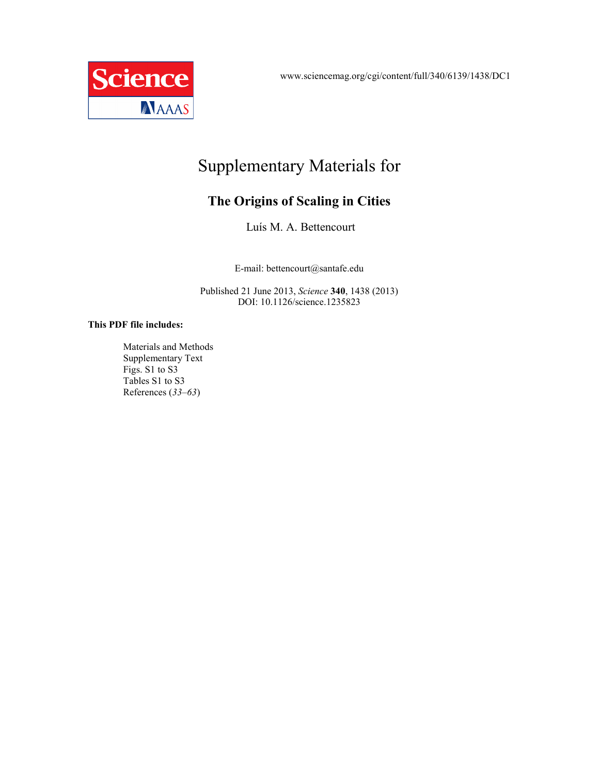www.sciencemag.org/cgi/content/full/340/6139/1438/DC1



# Supplementary Materials for

## **The Origins of Scaling in Cities**

Luís M. A. Bettencourt

E-mail: bettencourt@santafe.edu

Published 21 June 2013, *Science* **340**, 1438 (2013) DOI: 10.1126/science.1235823

#### **This PDF file includes:**

Materials and Methods Supplementary Text Figs. S1 to S3 Tables S1 to S3 References (*33*–*63*)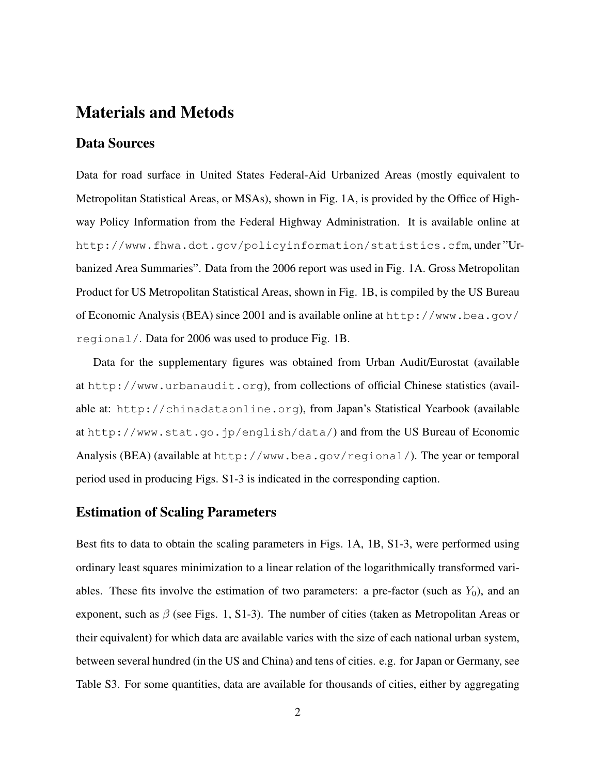## Materials and Metods

#### Data Sources

Data for road surface in United States Federal-Aid Urbanized Areas (mostly equivalent to Metropolitan Statistical Areas, or MSAs), shown in Fig. 1A, is provided by the Office of Highway Policy Information from the Federal Highway Administration. It is available online at http://www.fhwa.dot.gov/policyinformation/statistics.cfm, under "Urbanized Area Summaries". Data from the 2006 report was used in Fig. 1A. Gross Metropolitan Product for US Metropolitan Statistical Areas, shown in Fig. 1B, is compiled by the US Bureau of Economic Analysis (BEA) since 2001 and is available online at http://www.bea.gov/ regional/. Data for 2006 was used to produce Fig. 1B.

Data for the supplementary figures was obtained from Urban Audit/Eurostat (available at http://www.urbanaudit.org), from collections of official Chinese statistics (available at: http://chinadataonline.org), from Japan's Statistical Yearbook (available at http://www.stat.go.jp/english/data/) and from the US Bureau of Economic Analysis (BEA) (available at http://www.bea.gov/regional/). The year or temporal period used in producing Figs. S1-3 is indicated in the corresponding caption.

### Estimation of Scaling Parameters

Best fits to data to obtain the scaling parameters in Figs. 1A, 1B, S1-3, were performed using ordinary least squares minimization to a linear relation of the logarithmically transformed variables. These fits involve the estimation of two parameters: a pre-factor (such as  $Y_0$ ), and an exponent, such as  $\beta$  (see Figs. 1, S1-3). The number of cities (taken as Metropolitan Areas or their equivalent) for which data are available varies with the size of each national urban system, between several hundred (in the US and China) and tens of cities. e.g. for Japan or Germany, see Table S3. For some quantities, data are available for thousands of cities, either by aggregating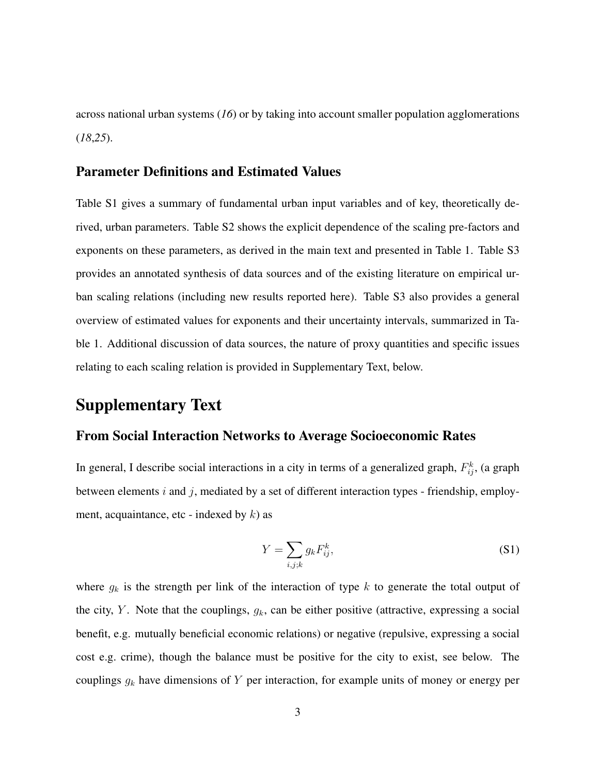across national urban systems (*16*) or by taking into account smaller population agglomerations (*18*,*25*).

#### Parameter Definitions and Estimated Values

Table S1 gives a summary of fundamental urban input variables and of key, theoretically derived, urban parameters. Table S2 shows the explicit dependence of the scaling pre-factors and exponents on these parameters, as derived in the main text and presented in Table 1. Table S3 provides an annotated synthesis of data sources and of the existing literature on empirical urban scaling relations (including new results reported here). Table S3 also provides a general overview of estimated values for exponents and their uncertainty intervals, summarized in Table 1. Additional discussion of data sources, the nature of proxy quantities and specific issues relating to each scaling relation is provided in Supplementary Text, below.

## Supplementary Text

#### From Social Interaction Networks to Average Socioeconomic Rates

In general, I describe social interactions in a city in terms of a generalized graph,  $F_{ij}^k$ , (a graph between elements  $i$  and  $j$ , mediated by a set of different interaction types - friendship, employment, acquaintance, etc - indexed by  $k$ ) as

$$
Y = \sum_{i,j,k} g_k F_{ij}^k,\tag{S1}
$$

where  $g_k$  is the strength per link of the interaction of type k to generate the total output of the city, Y. Note that the couplings,  $g_k$ , can be either positive (attractive, expressing a social benefit, e.g. mutually beneficial economic relations) or negative (repulsive, expressing a social cost e.g. crime), though the balance must be positive for the city to exist, see below. The couplings  $g_k$  have dimensions of Y per interaction, for example units of money or energy per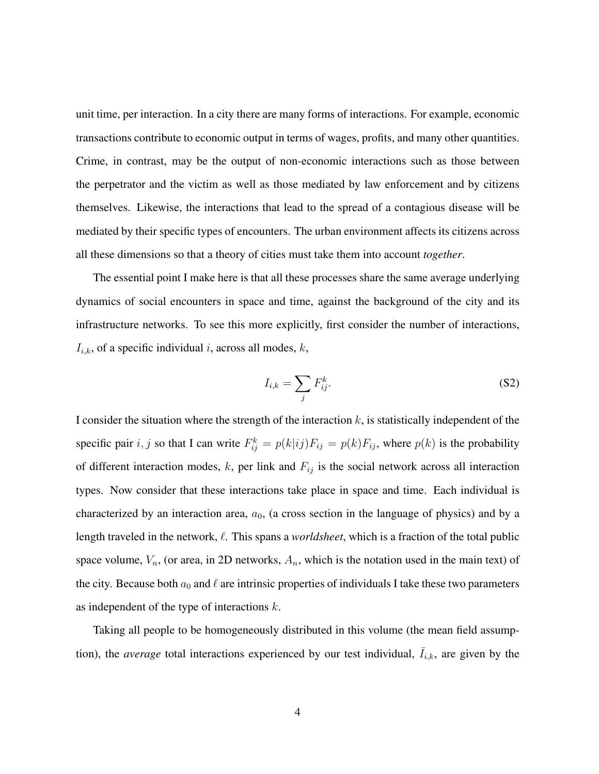unit time, per interaction. In a city there are many forms of interactions. For example, economic transactions contribute to economic output in terms of wages, profits, and many other quantities. Crime, in contrast, may be the output of non-economic interactions such as those between the perpetrator and the victim as well as those mediated by law enforcement and by citizens themselves. Likewise, the interactions that lead to the spread of a contagious disease will be mediated by their specific types of encounters. The urban environment affects its citizens across all these dimensions so that a theory of cities must take them into account *together*.

The essential point I make here is that all these processes share the same average underlying dynamics of social encounters in space and time, against the background of the city and its infrastructure networks. To see this more explicitly, first consider the number of interactions,  $I_{i,k}$ , of a specific individual i, across all modes, k,

$$
I_{i,k} = \sum_{j} F_{ij}^{k}.
$$
 (S2)

I consider the situation where the strength of the interaction  $k$ , is statistically independent of the specific pair i, j so that I can write  $F_{ij}^k = p(k|ij)F_{ij} = p(k)F_{ij}$ , where  $p(k)$  is the probability of different interaction modes,  $k$ , per link and  $F_{ij}$  is the social network across all interaction types. Now consider that these interactions take place in space and time. Each individual is characterized by an interaction area,  $a_0$ , (a cross section in the language of physics) and by a length traveled in the network,  $\ell$ . This spans a *worldsheet*, which is a fraction of the total public space volume,  $V_n$ , (or area, in 2D networks,  $A_n$ , which is the notation used in the main text) of the city. Because both  $a_0$  and  $\ell$  are intrinsic properties of individuals I take these two parameters as independent of the type of interactions  $k$ .

Taking all people to be homogeneously distributed in this volume (the mean field assumption), the *average* total interactions experienced by our test individual,  $\bar{I}_{i,k}$ , are given by the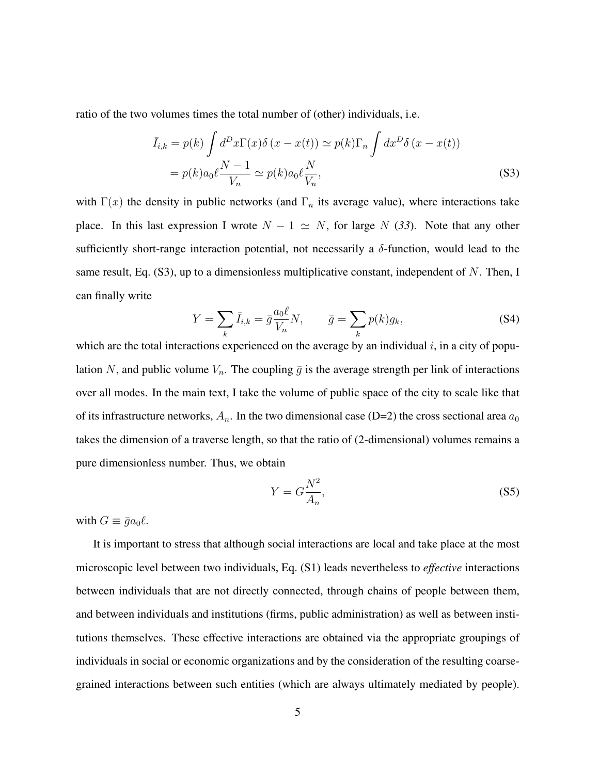ratio of the two volumes times the total number of (other) individuals, i.e.

$$
\bar{I}_{i,k} = p(k) \int d^D x \Gamma(x) \delta(x - x(t)) \simeq p(k) \Gamma_n \int dx^D \delta(x - x(t))
$$

$$
= p(k) a_0 \ell \frac{N-1}{V_n} \simeq p(k) a_0 \ell \frac{N}{V_n},
$$
(S3)

with  $\Gamma(x)$  the density in public networks (and  $\Gamma_n$  its average value), where interactions take place. In this last expression I wrote  $N - 1 \simeq N$ , for large N (33). Note that any other sufficiently short-range interaction potential, not necessarily a  $\delta$ -function, would lead to the same result, Eq.  $(S3)$ , up to a dimensionless multiplicative constant, independent of N. Then, I can finally write

$$
Y = \sum_{k} \bar{I}_{i,k} = \bar{g} \frac{a_0 \ell}{V_n} N, \qquad \bar{g} = \sum_{k} p(k) g_k,
$$
 (S4)

which are the total interactions experienced on the average by an individual  $i$ , in a city of population N, and public volume  $V_n$ . The coupling  $\bar{g}$  is the average strength per link of interactions over all modes. In the main text, I take the volume of public space of the city to scale like that of its infrastructure networks,  $A_n$ . In the two dimensional case (D=2) the cross sectional area  $a_0$ takes the dimension of a traverse length, so that the ratio of (2-dimensional) volumes remains a pure dimensionless number. Thus, we obtain

$$
Y = G \frac{N^2}{A_n},\tag{S5}
$$

with  $G \equiv \bar{g} a_0 \ell$ .

It is important to stress that although social interactions are local and take place at the most microscopic level between two individuals, Eq. (S1) leads nevertheless to *effective* interactions between individuals that are not directly connected, through chains of people between them, and between individuals and institutions (firms, public administration) as well as between institutions themselves. These effective interactions are obtained via the appropriate groupings of individuals in social or economic organizations and by the consideration of the resulting coarsegrained interactions between such entities (which are always ultimately mediated by people).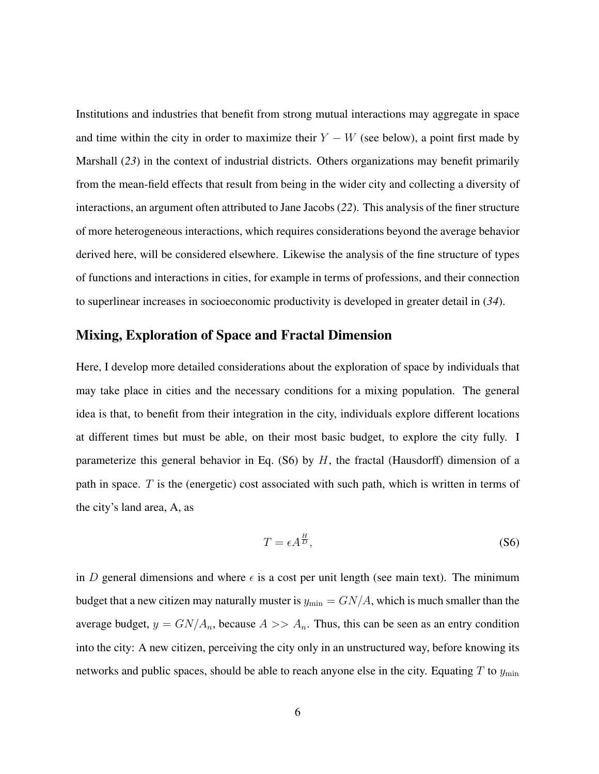Institutions and industries that benefit from strong mutual interactions may aggregate in space and time within the city in order to maximize their  $Y - W$  (see below), a point first made by Marshall (*23*) in the context of industrial districts. Others organizations may benefit primarily from the mean-field effects that result from being in the wider city and collecting a diversity of interactions, an argument often attributed to Jane Jacobs (*22*). This analysis of the finer structure of more heterogeneous interactions, which requires considerations beyond the average behavior derived here, will be considered elsewhere. Likewise the analysis of the fine structure of types of functions and interactions in cities, for example in terms of professions, and their connection to superlinear increases in socioeconomic productivity is developed in greater detail in (*34*).

#### Mixing, Exploration of Space and Fractal Dimension

Here, I develop more detailed considerations about the exploration of space by individuals that may take place in cities and the necessary conditions for a mixing population. The general idea is that, to benefit from their integration in the city, individuals explore different locations at different times but must be able, on their most basic budget, to explore the city fully. I parameterize this general behavior in Eq.  $(S6)$  by H, the fractal (Hausdorff) dimension of a path in space.  $T$  is the (energetic) cost associated with such path, which is written in terms of the city's land area, A, as

$$
T = \epsilon A^{\frac{H}{D}},\tag{S6}
$$

in D general dimensions and where  $\epsilon$  is a cost per unit length (see main text). The minimum budget that a new citizen may naturally muster is  $y_{\text{min}} = GN/A$ , which is much smaller than the average budget,  $y = GN/A_n$ , because  $A >> A_n$ . Thus, this can be seen as an entry condition into the city: A new citizen, perceiving the city only in an unstructured way, before knowing its networks and public spaces, should be able to reach anyone else in the city. Equating T to  $y_{\text{min}}$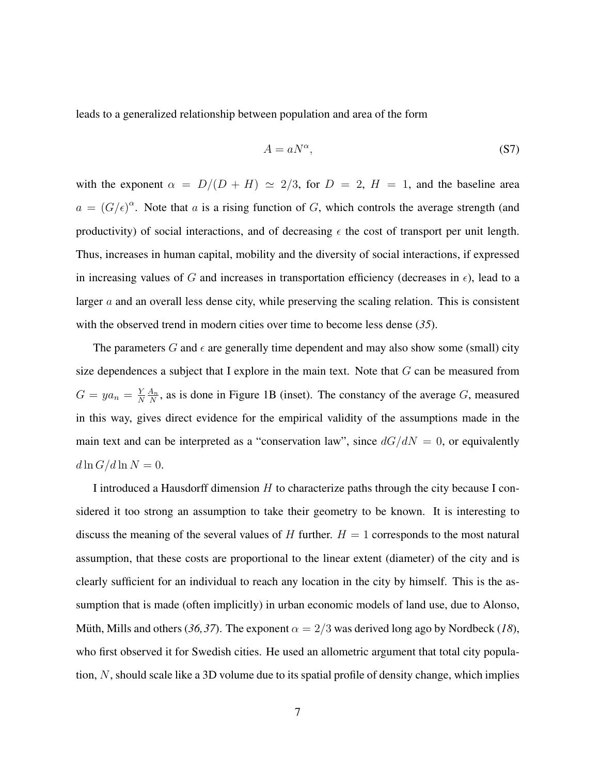leads to a generalized relationship between population and area of the form

$$
A = aN^{\alpha}, \tag{S7}
$$

with the exponent  $\alpha = D/(D + H) \simeq 2/3$ , for  $D = 2$ ,  $H = 1$ , and the baseline area  $a = (G/\epsilon)^{\alpha}$ . Note that a is a rising function of G, which controls the average strength (and productivity) of social interactions, and of decreasing  $\epsilon$  the cost of transport per unit length. Thus, increases in human capital, mobility and the diversity of social interactions, if expressed in increasing values of G and increases in transportation efficiency (decreases in  $\epsilon$ ), lead to a larger a and an overall less dense city, while preserving the scaling relation. This is consistent with the observed trend in modern cities over time to become less dense (*35*).

The parameters G and  $\epsilon$  are generally time dependent and may also show some (small) city size dependences a subject that I explore in the main text. Note that  $G$  can be measured from  $G = ya_n = \frac{Y}{N}$ N  $A_n$  $\frac{A_n}{N}$ , as is done in Figure 1B (inset). The constancy of the average G, measured in this way, gives direct evidence for the empirical validity of the assumptions made in the main text and can be interpreted as a "conservation law", since  $dG/dN = 0$ , or equivalently  $d \ln G / d \ln N = 0.$ 

I introduced a Hausdorff dimension  $H$  to characterize paths through the city because I considered it too strong an assumption to take their geometry to be known. It is interesting to discuss the meaning of the several values of H further.  $H = 1$  corresponds to the most natural assumption, that these costs are proportional to the linear extent (diameter) of the city and is clearly sufficient for an individual to reach any location in the city by himself. This is the assumption that is made (often implicitly) in urban economic models of land use, due to Alonso, Müth, Mills and others (36,37). The exponent  $\alpha = 2/3$  was derived long ago by Nordbeck (18), who first observed it for Swedish cities. He used an allometric argument that total city population, N, should scale like a 3D volume due to its spatial profile of density change, which implies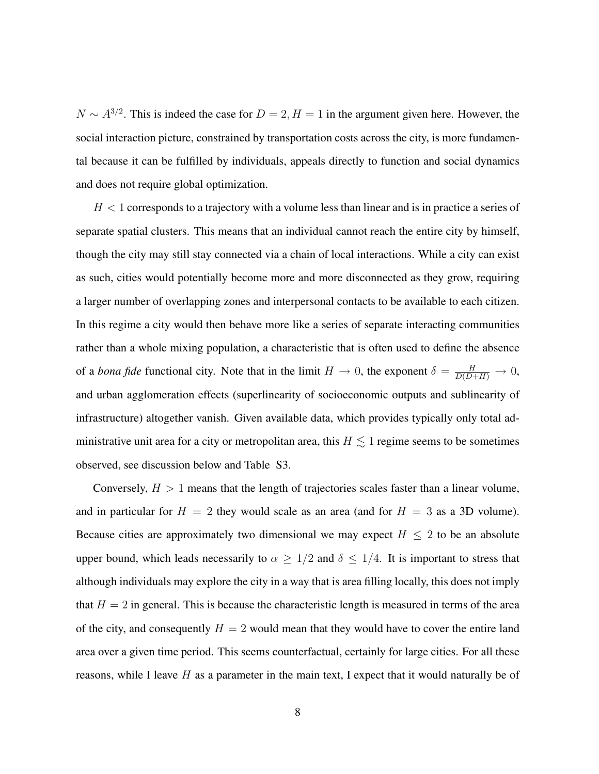$N \sim A^{3/2}$ . This is indeed the case for  $D = 2, H = 1$  in the argument given here. However, the social interaction picture, constrained by transportation costs across the city, is more fundamental because it can be fulfilled by individuals, appeals directly to function and social dynamics and does not require global optimization.

 $H < 1$  corresponds to a trajectory with a volume less than linear and is in practice a series of separate spatial clusters. This means that an individual cannot reach the entire city by himself, though the city may still stay connected via a chain of local interactions. While a city can exist as such, cities would potentially become more and more disconnected as they grow, requiring a larger number of overlapping zones and interpersonal contacts to be available to each citizen. In this regime a city would then behave more like a series of separate interacting communities rather than a whole mixing population, a characteristic that is often used to define the absence of a *bona fide* functional city. Note that in the limit  $H \to 0$ , the exponent  $\delta = \frac{H}{D(D+H)} \to 0$ , and urban agglomeration effects (superlinearity of socioeconomic outputs and sublinearity of infrastructure) altogether vanish. Given available data, which provides typically only total administrative unit area for a city or metropolitan area, this  $H \lesssim 1$  regime seems to be sometimes observed, see discussion below and Table S3.

Conversely,  $H > 1$  means that the length of trajectories scales faster than a linear volume, and in particular for  $H = 2$  they would scale as an area (and for  $H = 3$  as a 3D volume). Because cities are approximately two dimensional we may expect  $H \leq 2$  to be an absolute upper bound, which leads necessarily to  $\alpha \geq 1/2$  and  $\delta \leq 1/4$ . It is important to stress that although individuals may explore the city in a way that is area filling locally, this does not imply that  $H = 2$  in general. This is because the characteristic length is measured in terms of the area of the city, and consequently  $H = 2$  would mean that they would have to cover the entire land area over a given time period. This seems counterfactual, certainly for large cities. For all these reasons, while I leave  $H$  as a parameter in the main text, I expect that it would naturally be of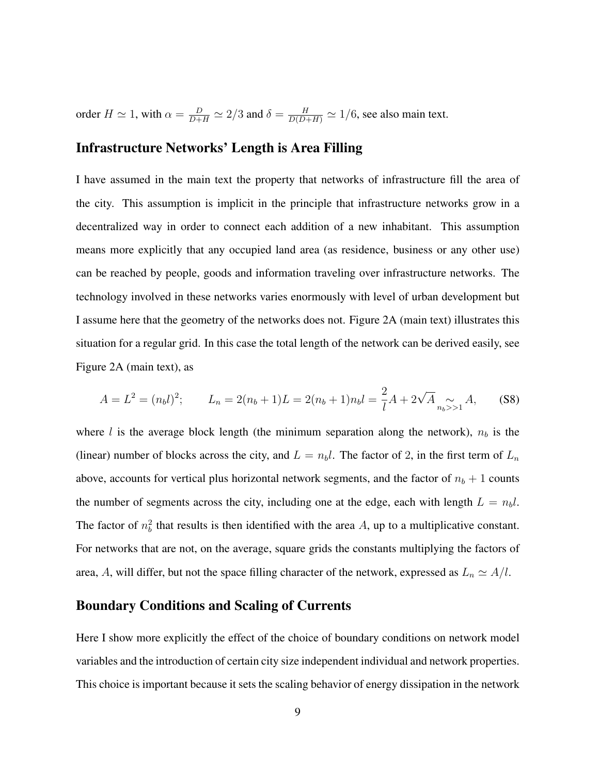order  $H \simeq 1$ , with  $\alpha = \frac{D}{D+H} \simeq 2/3$  and  $\delta = \frac{H}{D(D+H)} \simeq 1/6$ , see also main text.

### Infrastructure Networks' Length is Area Filling

I have assumed in the main text the property that networks of infrastructure fill the area of the city. This assumption is implicit in the principle that infrastructure networks grow in a decentralized way in order to connect each addition of a new inhabitant. This assumption means more explicitly that any occupied land area (as residence, business or any other use) can be reached by people, goods and information traveling over infrastructure networks. The technology involved in these networks varies enormously with level of urban development but I assume here that the geometry of the networks does not. Figure 2A (main text) illustrates this situation for a regular grid. In this case the total length of the network can be derived easily, see Figure 2A (main text), as

$$
A = L2 = (nbl)2; \t Ln = 2(nb + 1)L = 2(nb + 1)nbl = \frac{2}{l}A + 2\sqrt{A} \sum_{nb>1 A,
$$
 (S8)

where l is the average block length (the minimum separation along the network),  $n_b$  is the (linear) number of blocks across the city, and  $L = n_b l$ . The factor of 2, in the first term of  $L_n$ above, accounts for vertical plus horizontal network segments, and the factor of  $n_b + 1$  counts the number of segments across the city, including one at the edge, each with length  $L = n_b l$ . The factor of  $n_b^2$  that results is then identified with the area A, up to a multiplicative constant. For networks that are not, on the average, square grids the constants multiplying the factors of area, A, will differ, but not the space filling character of the network, expressed as  $L_n \simeq A/l$ .

#### Boundary Conditions and Scaling of Currents

Here I show more explicitly the effect of the choice of boundary conditions on network model variables and the introduction of certain city size independent individual and network properties. This choice is important because it sets the scaling behavior of energy dissipation in the network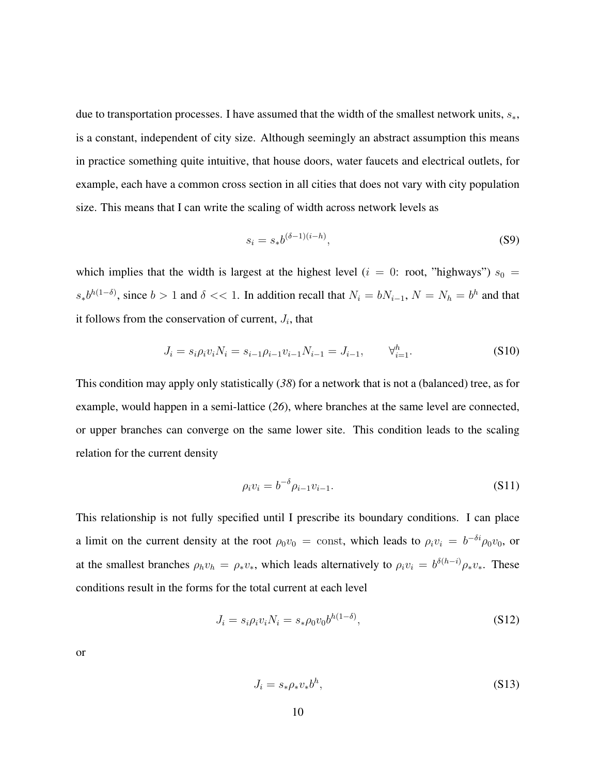due to transportation processes. I have assumed that the width of the smallest network units,  $s_*,$ is a constant, independent of city size. Although seemingly an abstract assumption this means in practice something quite intuitive, that house doors, water faucets and electrical outlets, for example, each have a common cross section in all cities that does not vary with city population size. This means that I can write the scaling of width across network levels as

$$
s_i = s_* b^{(\delta - 1)(i - h)},\tag{S9}
$$

which implies that the width is largest at the highest level ( $i = 0$ : root, "highways")  $s_0 =$  $s_*b^{h(1-\delta)}$ , since  $b>1$  and  $\delta \ll 1$ . In addition recall that  $N_i = bN_{i-1}$ ,  $N = N_h = b^h$  and that it follows from the conservation of current,  $J_i$ , that

$$
J_i = s_i \rho_i v_i N_i = s_{i-1} \rho_{i-1} v_{i-1} N_{i-1} = J_{i-1}, \qquad \forall_{i=1}^h.
$$
 (S10)

This condition may apply only statistically (*38*) for a network that is not a (balanced) tree, as for example, would happen in a semi-lattice (*26*), where branches at the same level are connected, or upper branches can converge on the same lower site. This condition leads to the scaling relation for the current density

$$
\rho_i v_i = b^{-\delta} \rho_{i-1} v_{i-1}.
$$
\n(S11)

This relationship is not fully specified until I prescribe its boundary conditions. I can place a limit on the current density at the root  $\rho_0v_0 = \text{const}$ , which leads to  $\rho_i v_i = b^{-\delta i} \rho_0 v_0$ , or at the smallest branches  $\rho_h v_h = \rho_* v_*$ , which leads alternatively to  $\rho_i v_i = b^{\delta(h-i)} \rho_* v_*$ . These conditions result in the forms for the total current at each level

$$
J_i = s_i \rho_i v_i N_i = s_* \rho_0 v_0 b^{h(1-\delta)}, \tag{S12}
$$

or

$$
J_i = s_* \rho_* v_* b^h, \tag{S13}
$$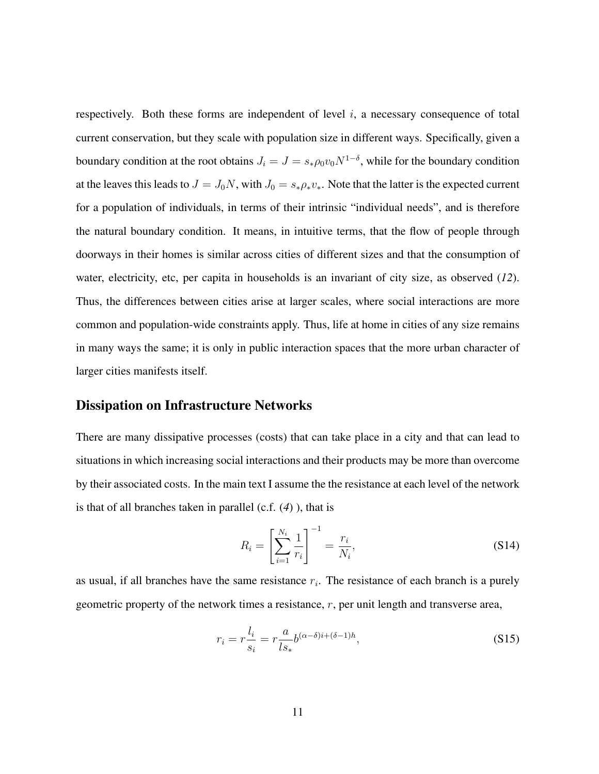respectively. Both these forms are independent of level  $i$ , a necessary consequence of total current conservation, but they scale with population size in different ways. Specifically, given a boundary condition at the root obtains  $J_i = J = s_{\ast} \rho_0 v_0 N^{1-\delta}$ , while for the boundary condition at the leaves this leads to  $J = J_0N$ , with  $J_0 = s_*\rho_* v_*$ . Note that the latter is the expected current for a population of individuals, in terms of their intrinsic "individual needs", and is therefore the natural boundary condition. It means, in intuitive terms, that the flow of people through doorways in their homes is similar across cities of different sizes and that the consumption of water, electricity, etc, per capita in households is an invariant of city size, as observed (*12*). Thus, the differences between cities arise at larger scales, where social interactions are more common and population-wide constraints apply. Thus, life at home in cities of any size remains in many ways the same; it is only in public interaction spaces that the more urban character of larger cities manifests itself.

### Dissipation on Infrastructure Networks

There are many dissipative processes (costs) that can take place in a city and that can lead to situations in which increasing social interactions and their products may be more than overcome by their associated costs. In the main text I assume the the resistance at each level of the network is that of all branches taken in parallel (c.f. (*4*) ), that is

$$
R_i = \left[\sum_{i=1}^{N_i} \frac{1}{r_i}\right]^{-1} = \frac{r_i}{N_i},
$$
\n(S14)

as usual, if all branches have the same resistance  $r_i$ . The resistance of each branch is a purely geometric property of the network times a resistance,  $r$ , per unit length and transverse area,

$$
r_i = r \frac{l_i}{s_i} = r \frac{a}{l s_*} b^{(\alpha - \delta)i + (\delta - 1)h},\tag{S15}
$$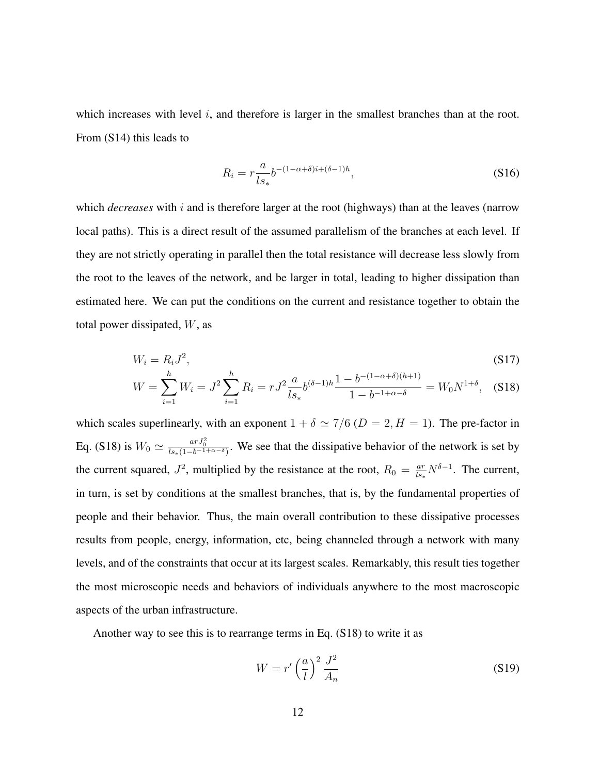which increases with level  $i$ , and therefore is larger in the smallest branches than at the root. From (S14) this leads to

$$
R_i = r \frac{a}{ls_*} b^{-(1-\alpha+\delta)i + (\delta-1)h},\tag{S16}
$$

which *decreases* with i and is therefore larger at the root (highways) than at the leaves (narrow local paths). This is a direct result of the assumed parallelism of the branches at each level. If they are not strictly operating in parallel then the total resistance will decrease less slowly from the root to the leaves of the network, and be larger in total, leading to higher dissipation than estimated here. We can put the conditions on the current and resistance together to obtain the total power dissipated, W, as

$$
W_i = R_i J^2,\tag{S17}
$$

$$
W = \sum_{i=1}^{h} W_i = J^2 \sum_{i=1}^{h} R_i = r J^2 \frac{a}{l s_*} b^{(\delta - 1)h} \frac{1 - b^{-(1 - \alpha + \delta)(h+1)}}{1 - b^{-1 + \alpha - \delta}} = W_0 N^{1 + \delta}, \quad (S18)
$$

which scales superlinearly, with an exponent  $1 + \delta \simeq 7/6$  ( $D = 2, H = 1$ ). The pre-factor in Eq. (S18) is  $W_0 \simeq \frac{arJ_0^2}{ls_*(1-b^{-1+\alpha-\delta})}$ . We see that the dissipative behavior of the network is set by the current squared,  $J^2$ , multiplied by the resistance at the root,  $R_0 = \frac{ar}{l s}$  $\frac{ar}{ds_*} N^{\delta-1}$ . The current, in turn, is set by conditions at the smallest branches, that is, by the fundamental properties of people and their behavior. Thus, the main overall contribution to these dissipative processes results from people, energy, information, etc, being channeled through a network with many levels, and of the constraints that occur at its largest scales. Remarkably, this result ties together the most microscopic needs and behaviors of individuals anywhere to the most macroscopic aspects of the urban infrastructure.

Another way to see this is to rearrange terms in Eq. (S18) to write it as

$$
W = r' \left(\frac{a}{l}\right)^2 \frac{J^2}{A_n} \tag{S19}
$$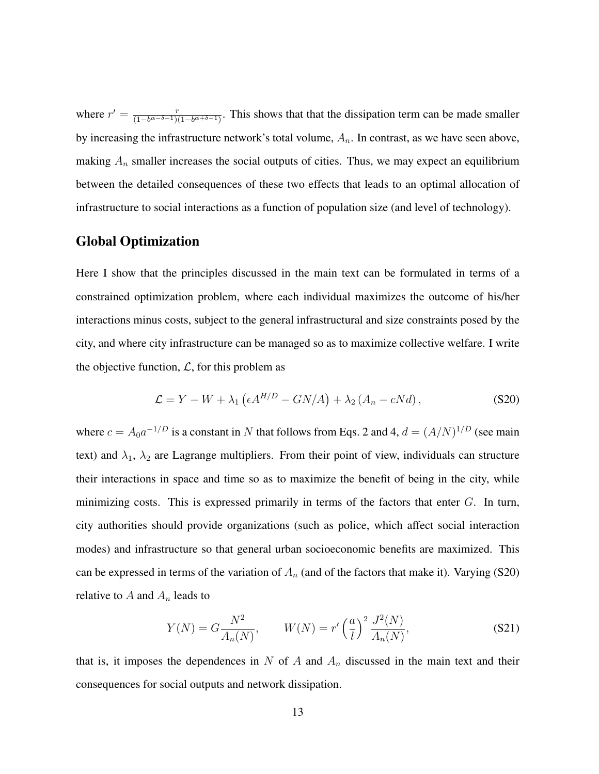where  $r' = \frac{r}{(1 - h\alpha - \delta - 1)t}$  $\frac{r}{(1-b^{\alpha-\delta-1})(1-b^{\alpha+\delta-1})}$ . This shows that that the dissipation term can be made smaller by increasing the infrastructure network's total volume,  $A_n$ . In contrast, as we have seen above, making  $A_n$  smaller increases the social outputs of cities. Thus, we may expect an equilibrium between the detailed consequences of these two effects that leads to an optimal allocation of infrastructure to social interactions as a function of population size (and level of technology).

#### Global Optimization

Here I show that the principles discussed in the main text can be formulated in terms of a constrained optimization problem, where each individual maximizes the outcome of his/her interactions minus costs, subject to the general infrastructural and size constraints posed by the city, and where city infrastructure can be managed so as to maximize collective welfare. I write the objective function,  $\mathcal{L}$ , for this problem as

$$
\mathcal{L} = Y - W + \lambda_1 \left( \epsilon A^{H/D} - GN/A \right) + \lambda_2 \left( A_n - cNd \right), \tag{S20}
$$

where  $c = A_0 a^{-1/D}$  is a constant in N that follows from Eqs. 2 and 4,  $d = (A/N)^{1/D}$  (see main text) and  $\lambda_1$ ,  $\lambda_2$  are Lagrange multipliers. From their point of view, individuals can structure their interactions in space and time so as to maximize the benefit of being in the city, while minimizing costs. This is expressed primarily in terms of the factors that enter  $G$ . In turn, city authorities should provide organizations (such as police, which affect social interaction modes) and infrastructure so that general urban socioeconomic benefits are maximized. This can be expressed in terms of the variation of  $A_n$  (and of the factors that make it). Varying (S20) relative to  $A$  and  $A_n$  leads to

$$
Y(N) = G \frac{N^2}{A_n(N)}, \qquad W(N) = r' \left(\frac{a}{l}\right)^2 \frac{J^2(N)}{A_n(N)},
$$
 (S21)

that is, it imposes the dependences in  $N$  of  $A$  and  $A_n$  discussed in the main text and their consequences for social outputs and network dissipation.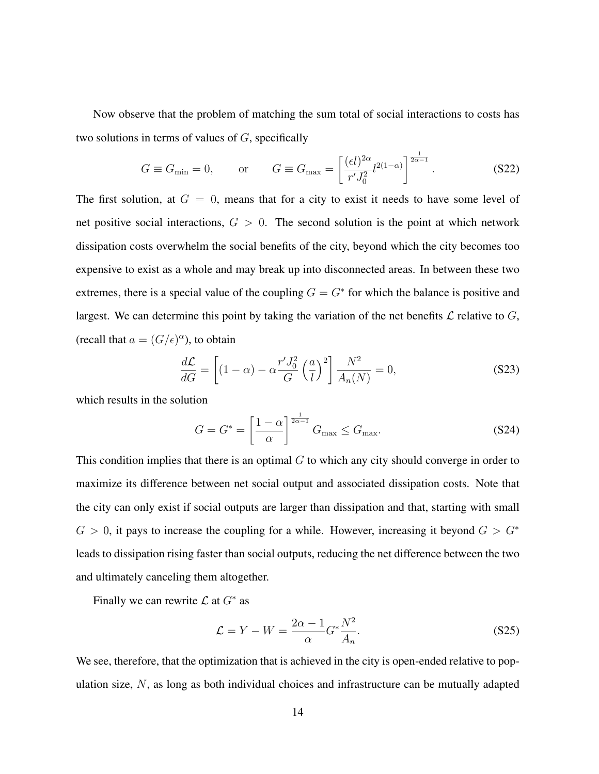Now observe that the problem of matching the sum total of social interactions to costs has two solutions in terms of values of  $G$ , specifically

$$
G \equiv G_{\min} = 0, \qquad \text{or} \qquad G \equiv G_{\max} = \left[\frac{(\epsilon l)^{2\alpha}}{r' J_0^2} l^{2(1-\alpha)}\right]^{\frac{1}{2\alpha - 1}}. \tag{S22}
$$

The first solution, at  $G = 0$ , means that for a city to exist it needs to have some level of net positive social interactions,  $G > 0$ . The second solution is the point at which network dissipation costs overwhelm the social benefits of the city, beyond which the city becomes too expensive to exist as a whole and may break up into disconnected areas. In between these two extremes, there is a special value of the coupling  $G = G^*$  for which the balance is positive and largest. We can determine this point by taking the variation of the net benefits  $\mathcal L$  relative to  $G$ , (recall that  $a = (G/\epsilon)^\alpha$ ), to obtain

$$
\frac{d\mathcal{L}}{dG} = \left[ (1 - \alpha) - \alpha \frac{r' J_0^2}{G} \left( \frac{a}{l} \right)^2 \right] \frac{N^2}{A_n(N)} = 0,
$$
\n(S23)

which results in the solution

$$
G = G^* = \left[\frac{1 - \alpha}{\alpha}\right]^{\frac{1}{2\alpha - 1}} G_{\text{max}} \le G_{\text{max}}.
$$
 (S24)

This condition implies that there is an optimal  $G$  to which any city should converge in order to maximize its difference between net social output and associated dissipation costs. Note that the city can only exist if social outputs are larger than dissipation and that, starting with small  $G > 0$ , it pays to increase the coupling for a while. However, increasing it beyond  $G > G^*$ leads to dissipation rising faster than social outputs, reducing the net difference between the two and ultimately canceling them altogether.

Finally we can rewrite  $\mathcal L$  at  $G^*$  as

$$
\mathcal{L} = Y - W = \frac{2\alpha - 1}{\alpha} G^* \frac{N^2}{A_n}.
$$
\n
$$
(S25)
$$

We see, therefore, that the optimization that is achieved in the city is open-ended relative to population size, N, as long as both individual choices and infrastructure can be mutually adapted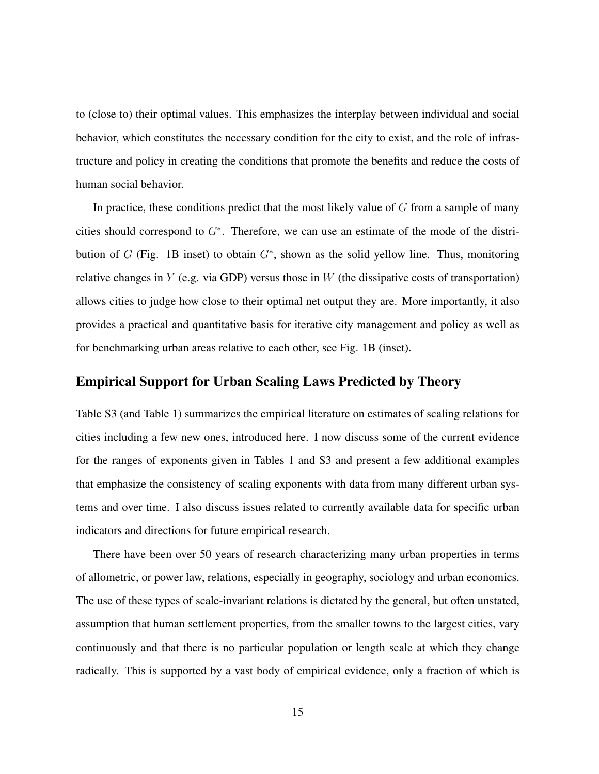to (close to) their optimal values. This emphasizes the interplay between individual and social behavior, which constitutes the necessary condition for the city to exist, and the role of infrastructure and policy in creating the conditions that promote the benefits and reduce the costs of human social behavior.

In practice, these conditions predict that the most likely value of  $G$  from a sample of many cities should correspond to  $G^*$ . Therefore, we can use an estimate of the mode of the distribution of  $G$  (Fig. 1B inset) to obtain  $G^*$ , shown as the solid yellow line. Thus, monitoring relative changes in  $Y$  (e.g. via GDP) versus those in  $W$  (the dissipative costs of transportation) allows cities to judge how close to their optimal net output they are. More importantly, it also provides a practical and quantitative basis for iterative city management and policy as well as for benchmarking urban areas relative to each other, see Fig. 1B (inset).

### Empirical Support for Urban Scaling Laws Predicted by Theory

Table S3 (and Table 1) summarizes the empirical literature on estimates of scaling relations for cities including a few new ones, introduced here. I now discuss some of the current evidence for the ranges of exponents given in Tables 1 and S3 and present a few additional examples that emphasize the consistency of scaling exponents with data from many different urban systems and over time. I also discuss issues related to currently available data for specific urban indicators and directions for future empirical research.

There have been over 50 years of research characterizing many urban properties in terms of allometric, or power law, relations, especially in geography, sociology and urban economics. The use of these types of scale-invariant relations is dictated by the general, but often unstated, assumption that human settlement properties, from the smaller towns to the largest cities, vary continuously and that there is no particular population or length scale at which they change radically. This is supported by a vast body of empirical evidence, only a fraction of which is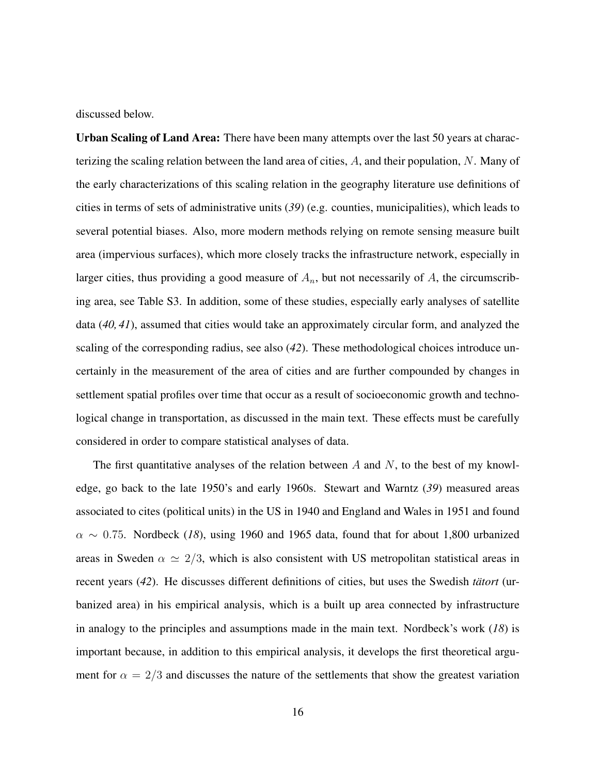discussed below.

Urban Scaling of Land Area: There have been many attempts over the last 50 years at characterizing the scaling relation between the land area of cities, A, and their population, N. Many of the early characterizations of this scaling relation in the geography literature use definitions of cities in terms of sets of administrative units (*39*) (e.g. counties, municipalities), which leads to several potential biases. Also, more modern methods relying on remote sensing measure built area (impervious surfaces), which more closely tracks the infrastructure network, especially in larger cities, thus providing a good measure of  $A_n$ , but not necessarily of A, the circumscribing area, see Table S3. In addition, some of these studies, especially early analyses of satellite data (*40, 41*), assumed that cities would take an approximately circular form, and analyzed the scaling of the corresponding radius, see also (*42*). These methodological choices introduce uncertainly in the measurement of the area of cities and are further compounded by changes in settlement spatial profiles over time that occur as a result of socioeconomic growth and technological change in transportation, as discussed in the main text. These effects must be carefully considered in order to compare statistical analyses of data.

The first quantitative analyses of the relation between  $A$  and  $N$ , to the best of my knowledge, go back to the late 1950's and early 1960s. Stewart and Warntz (*39*) measured areas associated to cites (political units) in the US in 1940 and England and Wales in 1951 and found  $\alpha \sim 0.75$ . Nordbeck (18), using 1960 and 1965 data, found that for about 1,800 urbanized areas in Sweden  $\alpha \simeq 2/3$ , which is also consistent with US metropolitan statistical areas in recent years (42). He discusses different definitions of cities, but uses the Swedish *tatort* (urbanized area) in his empirical analysis, which is a built up area connected by infrastructure in analogy to the principles and assumptions made in the main text. Nordbeck's work (*18*) is important because, in addition to this empirical analysis, it develops the first theoretical argument for  $\alpha = 2/3$  and discusses the nature of the settlements that show the greatest variation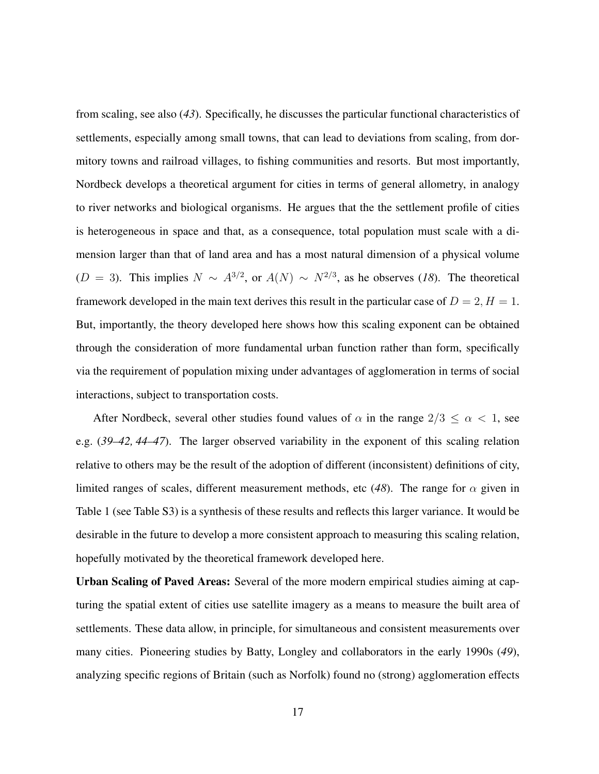from scaling, see also (*43*). Specifically, he discusses the particular functional characteristics of settlements, especially among small towns, that can lead to deviations from scaling, from dormitory towns and railroad villages, to fishing communities and resorts. But most importantly, Nordbeck develops a theoretical argument for cities in terms of general allometry, in analogy to river networks and biological organisms. He argues that the the settlement profile of cities is heterogeneous in space and that, as a consequence, total population must scale with a dimension larger than that of land area and has a most natural dimension of a physical volume (D = 3). This implies  $N \sim A^{3/2}$ , or  $A(N) \sim N^{2/3}$ , as he observes (18). The theoretical framework developed in the main text derives this result in the particular case of  $D = 2, H = 1$ . But, importantly, the theory developed here shows how this scaling exponent can be obtained through the consideration of more fundamental urban function rather than form, specifically via the requirement of population mixing under advantages of agglomeration in terms of social interactions, subject to transportation costs.

After Nordbeck, several other studies found values of  $\alpha$  in the range  $2/3 \leq \alpha < 1$ , see e.g. (*39–42, 44–47*). The larger observed variability in the exponent of this scaling relation relative to others may be the result of the adoption of different (inconsistent) definitions of city, limited ranges of scales, different measurement methods, etc (48). The range for  $\alpha$  given in Table 1 (see Table S3) is a synthesis of these results and reflects this larger variance. It would be desirable in the future to develop a more consistent approach to measuring this scaling relation, hopefully motivated by the theoretical framework developed here.

Urban Scaling of Paved Areas: Several of the more modern empirical studies aiming at capturing the spatial extent of cities use satellite imagery as a means to measure the built area of settlements. These data allow, in principle, for simultaneous and consistent measurements over many cities. Pioneering studies by Batty, Longley and collaborators in the early 1990s (*49*), analyzing specific regions of Britain (such as Norfolk) found no (strong) agglomeration effects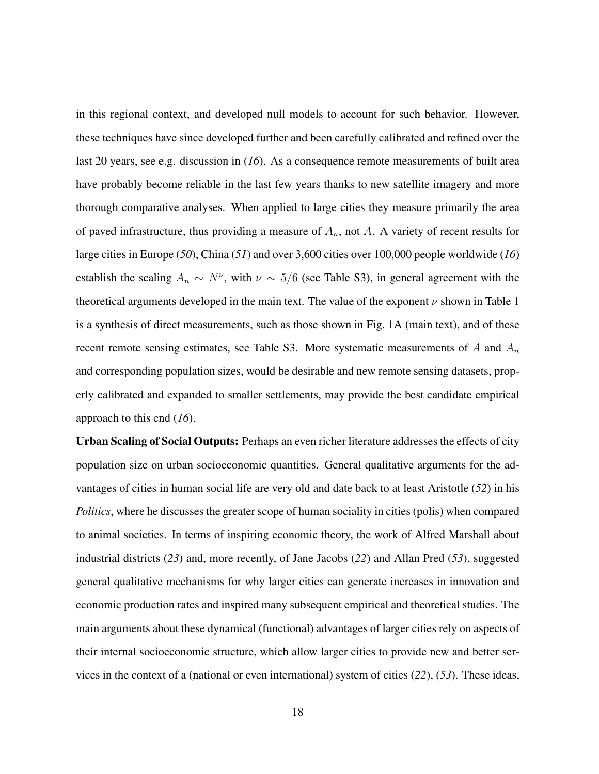in this regional context, and developed null models to account for such behavior. However, these techniques have since developed further and been carefully calibrated and refined over the last 20 years, see e.g. discussion in (*16*). As a consequence remote measurements of built area have probably become reliable in the last few years thanks to new satellite imagery and more thorough comparative analyses. When applied to large cities they measure primarily the area of paved infrastructure, thus providing a measure of  $A_n$ , not  $A$ . A variety of recent results for large cities in Europe (*50*), China (*51*) and over 3,600 cities over 100,000 people worldwide (*16*) establish the scaling  $A_n \sim N^{\nu}$ , with  $\nu \sim 5/6$  (see Table S3), in general agreement with the theoretical arguments developed in the main text. The value of the exponent  $\nu$  shown in Table 1 is a synthesis of direct measurements, such as those shown in Fig. 1A (main text), and of these recent remote sensing estimates, see Table S3. More systematic measurements of  $A$  and  $A_n$ and corresponding population sizes, would be desirable and new remote sensing datasets, properly calibrated and expanded to smaller settlements, may provide the best candidate empirical approach to this end (*16*).

Urban Scaling of Social Outputs: Perhaps an even richer literature addresses the effects of city population size on urban socioeconomic quantities. General qualitative arguments for the advantages of cities in human social life are very old and date back to at least Aristotle (*52*) in his *Politics*, where he discusses the greater scope of human sociality in cities (polis) when compared to animal societies. In terms of inspiring economic theory, the work of Alfred Marshall about industrial districts (*23*) and, more recently, of Jane Jacobs (*22*) and Allan Pred (*53*), suggested general qualitative mechanisms for why larger cities can generate increases in innovation and economic production rates and inspired many subsequent empirical and theoretical studies. The main arguments about these dynamical (functional) advantages of larger cities rely on aspects of their internal socioeconomic structure, which allow larger cities to provide new and better services in the context of a (national or even international) system of cities (*22*), (*53*). These ideas,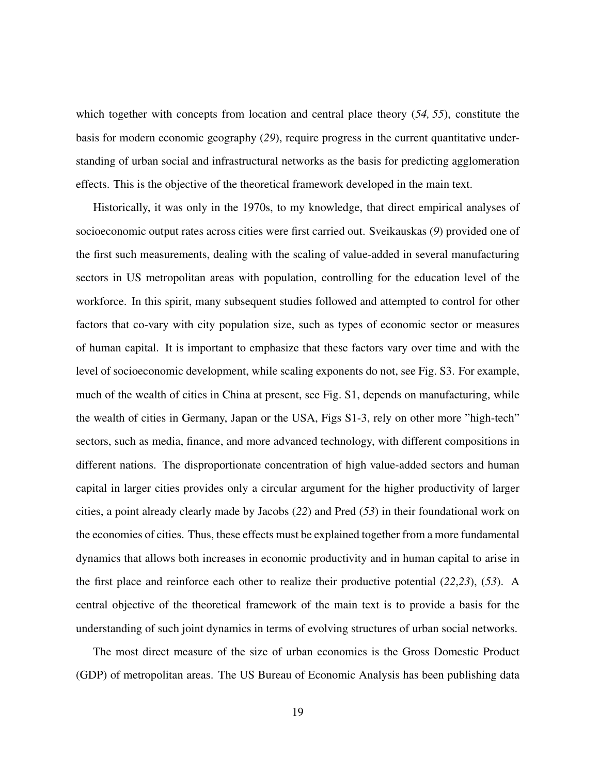which together with concepts from location and central place theory (*54, 55*), constitute the basis for modern economic geography (*29*), require progress in the current quantitative understanding of urban social and infrastructural networks as the basis for predicting agglomeration effects. This is the objective of the theoretical framework developed in the main text.

Historically, it was only in the 1970s, to my knowledge, that direct empirical analyses of socioeconomic output rates across cities were first carried out. Sveikauskas (*9*) provided one of the first such measurements, dealing with the scaling of value-added in several manufacturing sectors in US metropolitan areas with population, controlling for the education level of the workforce. In this spirit, many subsequent studies followed and attempted to control for other factors that co-vary with city population size, such as types of economic sector or measures of human capital. It is important to emphasize that these factors vary over time and with the level of socioeconomic development, while scaling exponents do not, see Fig. S3. For example, much of the wealth of cities in China at present, see Fig. S1, depends on manufacturing, while the wealth of cities in Germany, Japan or the USA, Figs S1-3, rely on other more "high-tech" sectors, such as media, finance, and more advanced technology, with different compositions in different nations. The disproportionate concentration of high value-added sectors and human capital in larger cities provides only a circular argument for the higher productivity of larger cities, a point already clearly made by Jacobs (*22*) and Pred (*53*) in their foundational work on the economies of cities. Thus, these effects must be explained together from a more fundamental dynamics that allows both increases in economic productivity and in human capital to arise in the first place and reinforce each other to realize their productive potential (*22*,*23*), (*53*). A central objective of the theoretical framework of the main text is to provide a basis for the understanding of such joint dynamics in terms of evolving structures of urban social networks.

The most direct measure of the size of urban economies is the Gross Domestic Product (GDP) of metropolitan areas. The US Bureau of Economic Analysis has been publishing data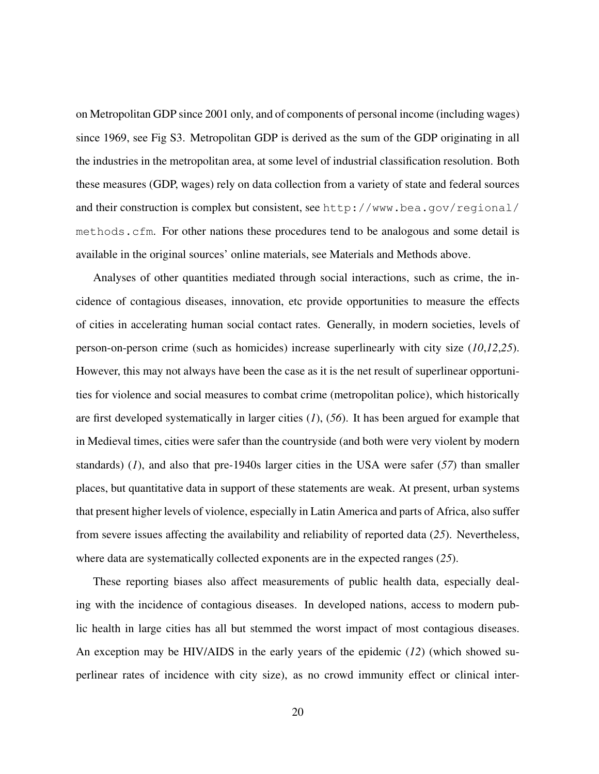on Metropolitan GDP since 2001 only, and of components of personal income (including wages) since 1969, see Fig S3. Metropolitan GDP is derived as the sum of the GDP originating in all the industries in the metropolitan area, at some level of industrial classification resolution. Both these measures (GDP, wages) rely on data collection from a variety of state and federal sources and their construction is complex but consistent, see http://www.bea.gov/regional/ methods.cfm. For other nations these procedures tend to be analogous and some detail is available in the original sources' online materials, see Materials and Methods above.

Analyses of other quantities mediated through social interactions, such as crime, the incidence of contagious diseases, innovation, etc provide opportunities to measure the effects of cities in accelerating human social contact rates. Generally, in modern societies, levels of person-on-person crime (such as homicides) increase superlinearly with city size (*10*,*12*,*25*). However, this may not always have been the case as it is the net result of superlinear opportunities for violence and social measures to combat crime (metropolitan police), which historically are first developed systematically in larger cities (*1*), (*56*). It has been argued for example that in Medieval times, cities were safer than the countryside (and both were very violent by modern standards) (*1*), and also that pre-1940s larger cities in the USA were safer (*57*) than smaller places, but quantitative data in support of these statements are weak. At present, urban systems that present higher levels of violence, especially in Latin America and parts of Africa, also suffer from severe issues affecting the availability and reliability of reported data (*25*). Nevertheless, where data are systematically collected exponents are in the expected ranges (*25*).

These reporting biases also affect measurements of public health data, especially dealing with the incidence of contagious diseases. In developed nations, access to modern public health in large cities has all but stemmed the worst impact of most contagious diseases. An exception may be HIV/AIDS in the early years of the epidemic (*12*) (which showed superlinear rates of incidence with city size), as no crowd immunity effect or clinical inter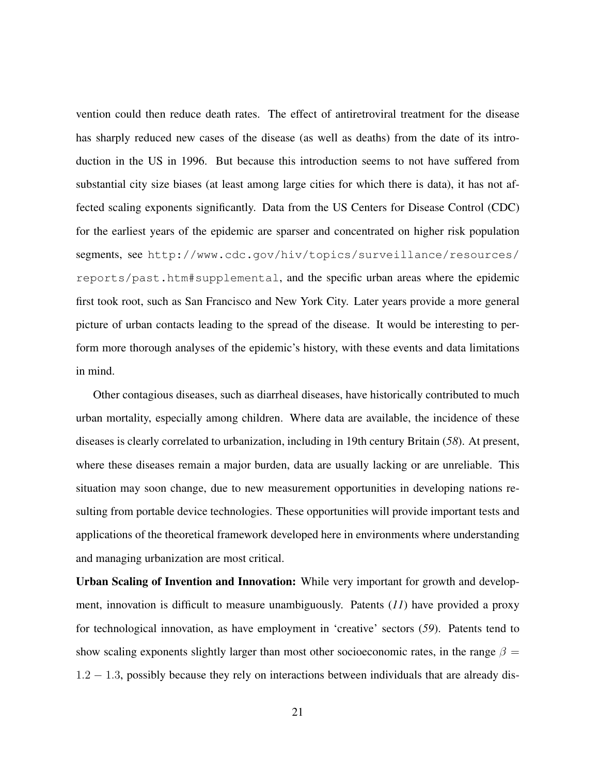vention could then reduce death rates. The effect of antiretroviral treatment for the disease has sharply reduced new cases of the disease (as well as deaths) from the date of its introduction in the US in 1996. But because this introduction seems to not have suffered from substantial city size biases (at least among large cities for which there is data), it has not affected scaling exponents significantly. Data from the US Centers for Disease Control (CDC) for the earliest years of the epidemic are sparser and concentrated on higher risk population segments, see http://www.cdc.gov/hiv/topics/surveillance/resources/ reports/past.htm#supplemental, and the specific urban areas where the epidemic first took root, such as San Francisco and New York City. Later years provide a more general picture of urban contacts leading to the spread of the disease. It would be interesting to perform more thorough analyses of the epidemic's history, with these events and data limitations in mind.

Other contagious diseases, such as diarrheal diseases, have historically contributed to much urban mortality, especially among children. Where data are available, the incidence of these diseases is clearly correlated to urbanization, including in 19th century Britain (*58*). At present, where these diseases remain a major burden, data are usually lacking or are unreliable. This situation may soon change, due to new measurement opportunities in developing nations resulting from portable device technologies. These opportunities will provide important tests and applications of the theoretical framework developed here in environments where understanding and managing urbanization are most critical.

Urban Scaling of Invention and Innovation: While very important for growth and development, innovation is difficult to measure unambiguously. Patents (*11*) have provided a proxy for technological innovation, as have employment in 'creative' sectors (*59*). Patents tend to show scaling exponents slightly larger than most other socioeconomic rates, in the range  $\beta =$ 1.2 − 1.3, possibly because they rely on interactions between individuals that are already dis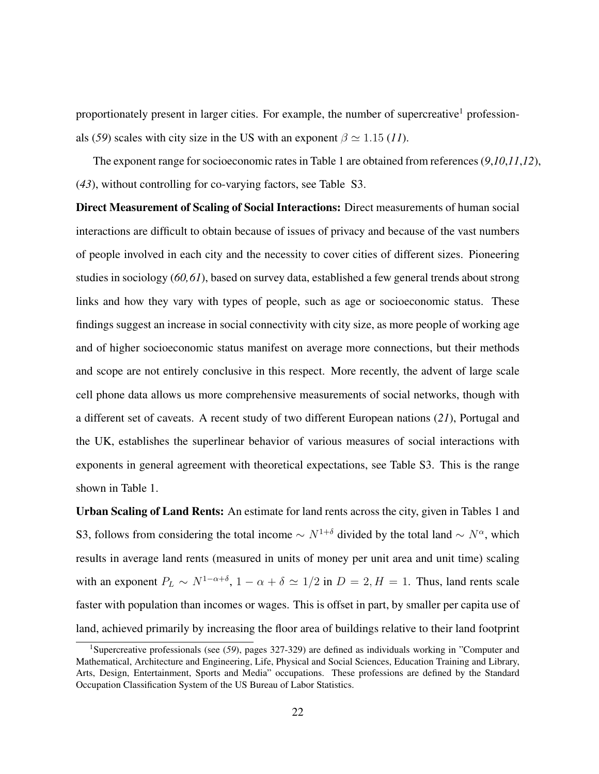proportionately present in larger cities. For example, the number of supercreative<sup>1</sup> professionals (*59*) scales with city size in the US with an exponent  $\beta \simeq 1.15$  (*11*).

The exponent range for socioeconomic rates in Table 1 are obtained from references (*9*,*10*,*11*,*12*), (*43*), without controlling for co-varying factors, see Table S3.

Direct Measurement of Scaling of Social Interactions: Direct measurements of human social interactions are difficult to obtain because of issues of privacy and because of the vast numbers of people involved in each city and the necessity to cover cities of different sizes. Pioneering studies in sociology (*60,61*), based on survey data, established a few general trends about strong links and how they vary with types of people, such as age or socioeconomic status. These findings suggest an increase in social connectivity with city size, as more people of working age and of higher socioeconomic status manifest on average more connections, but their methods and scope are not entirely conclusive in this respect. More recently, the advent of large scale cell phone data allows us more comprehensive measurements of social networks, though with a different set of caveats. A recent study of two different European nations (*21*), Portugal and the UK, establishes the superlinear behavior of various measures of social interactions with exponents in general agreement with theoretical expectations, see Table S3. This is the range shown in Table 1.

Urban Scaling of Land Rents: An estimate for land rents across the city, given in Tables 1 and S3, follows from considering the total income  $\sim N^{1+\delta}$  divided by the total land  $\sim N^{\alpha}$ , which results in average land rents (measured in units of money per unit area and unit time) scaling with an exponent  $P_L \sim N^{1-\alpha+\delta}$ ,  $1-\alpha+\delta \simeq 1/2$  in  $D=2$ ,  $H=1$ . Thus, land rents scale faster with population than incomes or wages. This is offset in part, by smaller per capita use of land, achieved primarily by increasing the floor area of buildings relative to their land footprint

<sup>1</sup>Supercreative professionals (see (*59*), pages 327-329) are defined as individuals working in "Computer and Mathematical, Architecture and Engineering, Life, Physical and Social Sciences, Education Training and Library, Arts, Design, Entertainment, Sports and Media" occupations. These professions are defined by the Standard Occupation Classification System of the US Bureau of Labor Statistics.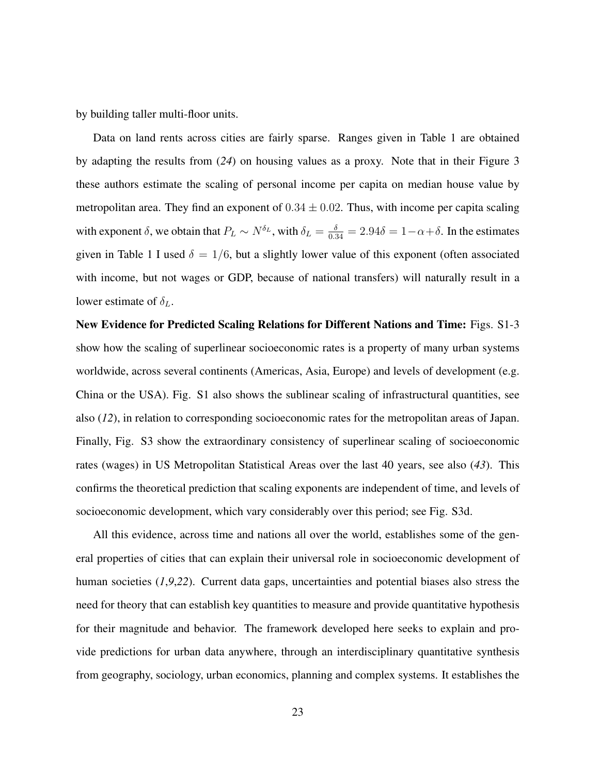by building taller multi-floor units.

Data on land rents across cities are fairly sparse. Ranges given in Table 1 are obtained by adapting the results from (*24*) on housing values as a proxy. Note that in their Figure 3 these authors estimate the scaling of personal income per capita on median house value by metropolitan area. They find an exponent of  $0.34 \pm 0.02$ . Thus, with income per capita scaling with exponent  $\delta$ , we obtain that  $P_L \sim N^{\delta_L}$ , with  $\delta_L = \frac{\delta}{0.34} = 2.94\delta = 1 - \alpha + \delta$ . In the estimates given in Table 1 I used  $\delta = 1/6$ , but a slightly lower value of this exponent (often associated with income, but not wages or GDP, because of national transfers) will naturally result in a lower estimate of  $\delta_L$ .

New Evidence for Predicted Scaling Relations for Different Nations and Time: Figs. S1-3 show how the scaling of superlinear socioeconomic rates is a property of many urban systems worldwide, across several continents (Americas, Asia, Europe) and levels of development (e.g. China or the USA). Fig. S1 also shows the sublinear scaling of infrastructural quantities, see also (*12*), in relation to corresponding socioeconomic rates for the metropolitan areas of Japan. Finally, Fig. S3 show the extraordinary consistency of superlinear scaling of socioeconomic rates (wages) in US Metropolitan Statistical Areas over the last 40 years, see also (*43*). This confirms the theoretical prediction that scaling exponents are independent of time, and levels of socioeconomic development, which vary considerably over this period; see Fig. S3d.

All this evidence, across time and nations all over the world, establishes some of the general properties of cities that can explain their universal role in socioeconomic development of human societies (*1*,*9*,*22*). Current data gaps, uncertainties and potential biases also stress the need for theory that can establish key quantities to measure and provide quantitative hypothesis for their magnitude and behavior. The framework developed here seeks to explain and provide predictions for urban data anywhere, through an interdisciplinary quantitative synthesis from geography, sociology, urban economics, planning and complex systems. It establishes the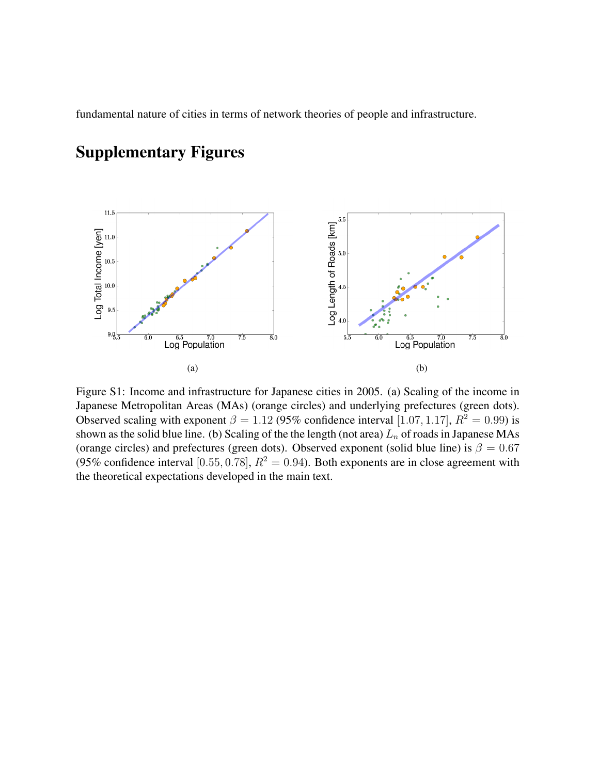fundamental nature of cities in terms of network theories of people and infrastructure.

#### $11.5\,$ Log Length of Roads [km]<br>
end the face of starting Log Total Income [yen]<br>  $\frac{1}{2}$ <br>  $\frac{1}{2}$ <br>  $\frac{1}{2}$ <br>  $\frac{1}{2}$ <br>  $\frac{1}{2}$  $10.5$  $10.0$ 9.5  $9.0\frac{1}{5}$  $\frac{6.5}{\text{Log Population}}$  $\overline{7.5}$  $\overline{8.0}$  $\overline{6}$  $\frac{6.5}{\text{Log Population}}$  $\overline{7.5}$  $\overline{8.0}$ ៩ក  $5.\overline{5}$  $(a)$  (b)

## Supplementary Figures

Figure S1: Income and infrastructure for Japanese cities in 2005. (a) Scaling of the income in Japanese Metropolitan Areas (MAs) (orange circles) and underlying prefectures (green dots). Observed scaling with exponent  $\beta = 1.12$  (95% confidence interval [1.07, 1.17],  $R^2 = 0.99$ ) is shown as the solid blue line. (b) Scaling of the the length (not area)  $L_n$  of roads in Japanese MAs (orange circles) and prefectures (green dots). Observed exponent (solid blue line) is  $\beta = 0.67$ (95% confidence interval [0.55, 0.78],  $R^2 = 0.94$ ). Both exponents are in close agreement with the theoretical expectations developed in the main text.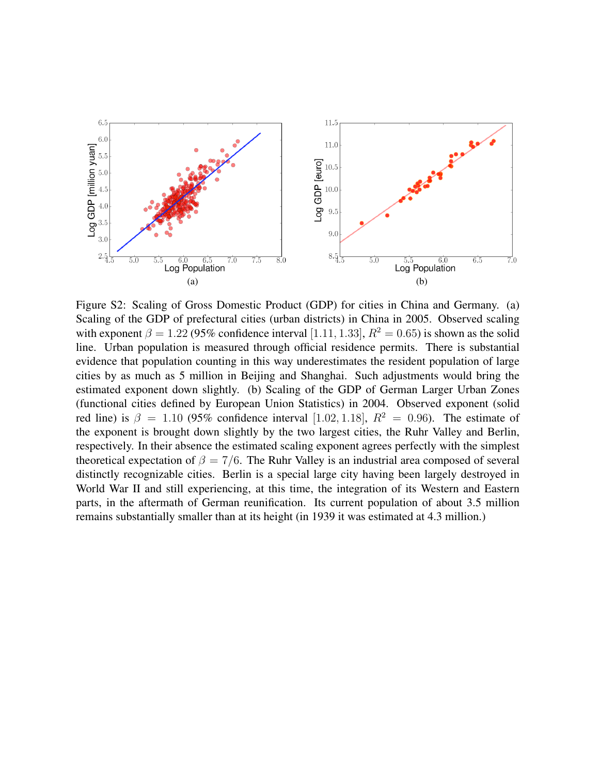

Figure S2: Scaling of Gross Domestic Product (GDP) for cities in China and Germany. (a) Scaling of the GDP of prefectural cities (urban districts) in China in 2005. Observed scaling with exponent  $\beta = 1.22$  (95% confidence interval [1.11, 1.33],  $R^2 = 0.65$ ) is shown as the solid line. Urban population is measured through official residence permits. There is substantial evidence that population counting in this way underestimates the resident population of large cities by as much as 5 million in Beijing and Shanghai. Such adjustments would bring the estimated exponent down slightly. (b) Scaling of the GDP of German Larger Urban Zones (functional cities defined by European Union Statistics) in 2004. Observed exponent (solid red line) is  $\beta = 1.10$  (95% confidence interval [1.02, 1.18],  $R^2 = 0.96$ ). The estimate of the exponent is brought down slightly by the two largest cities, the Ruhr Valley and Berlin, respectively. In their absence the estimated scaling exponent agrees perfectly with the simplest theoretical expectation of  $\beta = 7/6$ . The Ruhr Valley is an industrial area composed of several distinctly recognizable cities. Berlin is a special large city having been largely destroyed in World War II and still experiencing, at this time, the integration of its Western and Eastern parts, in the aftermath of German reunification. Its current population of about 3.5 million remains substantially smaller than at its height (in 1939 it was estimated at 4.3 million.)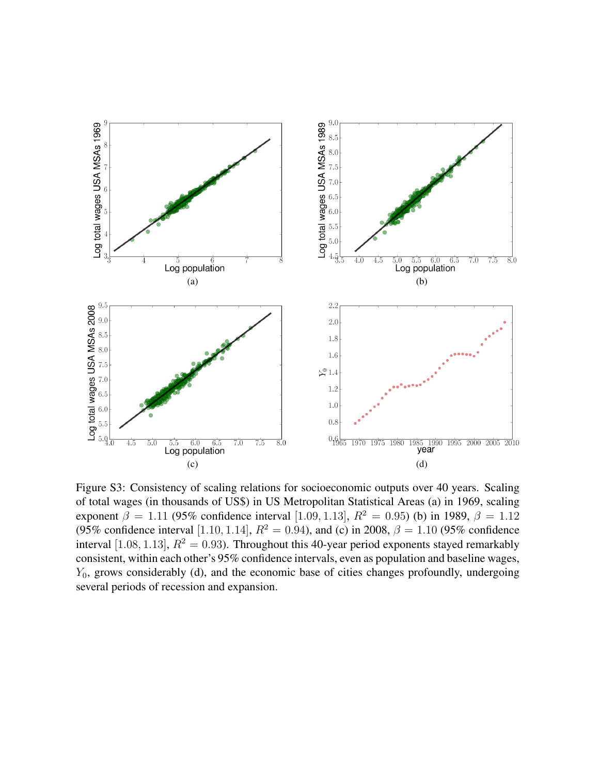

Figure S3: Consistency of scaling relations for socioeconomic outputs over 40 years. Scaling of total wages (in thousands of US\$) in US Metropolitan Statistical Areas (a) in 1969, scaling exponent  $\beta = 1.11$  (95% confidence interval [1.09, 1.13],  $R^2 = 0.95$ ) (b) in 1989,  $\beta = 1.12$ (95% confidence interval [1.10, 1.14],  $R^2 = 0.94$ ), and (c) in 2008,  $\beta = 1.10$  (95% confidence interval [1.08, 1.13],  $R^2 = 0.93$ ). Throughout this 40-year period exponents stayed remarkably consistent, within each other's 95% confidence intervals, even as population and baseline wages,  $Y_0$ , grows considerably (d), and the economic base of cities changes profoundly, undergoing several periods of recession and expansion.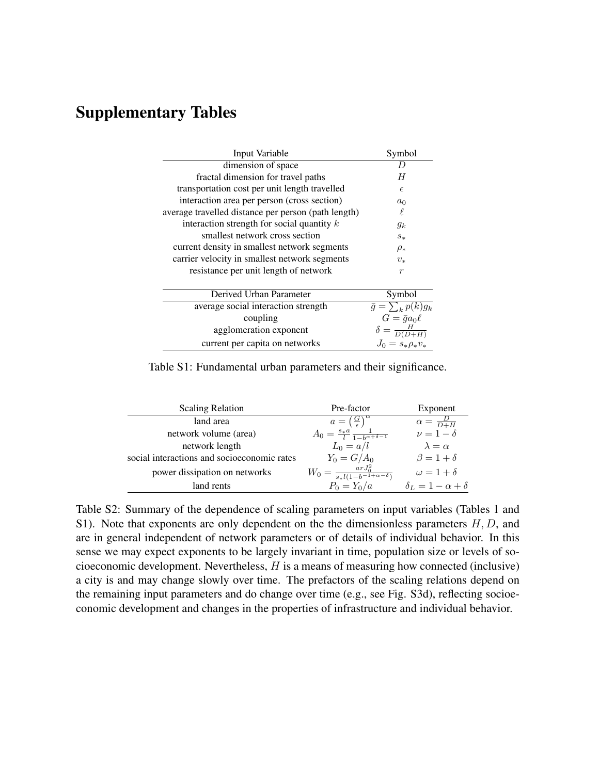## Supplementary Tables

| Input Variable                                      | Symbol                        |
|-----------------------------------------------------|-------------------------------|
| dimension of space                                  | D                             |
| fractal dimension for travel paths                  | H                             |
| transportation cost per unit length travelled       | $\epsilon$                    |
| interaction area per person (cross section)         | $a_0$                         |
| average travelled distance per person (path length) | ℓ                             |
| interaction strength for social quantity $k$        | $g_k$                         |
| smallest network cross section                      | $s_{*}$                       |
| current density in smallest network segments        | $\rho_*$                      |
| carrier velocity in smallest network segments       | $v_{*}$                       |
| resistance per unit length of network               | $\boldsymbol{r}$              |
| Derived Urban Parameter                             | Symbol                        |
| average social interaction strength                 | $\bar{g} = \sum_{k} p(k) g_k$ |
| coupling                                            | $G = \bar{g}a_0\ell$          |
| agglomeration exponent                              | $\delta = \frac{H}{D(D+H)}$   |
| current per capita on networks                      | $J_0 = s_* \rho_* v_*$        |

Table S1: Fundamental urban parameters and their significance.

| <b>Scaling Relation</b>                     | Pre-factor                                                    | Exponent                         |  |  |
|---------------------------------------------|---------------------------------------------------------------|----------------------------------|--|--|
| land area                                   | $a=\left(\frac{G}{\epsilon}\right)^{\alpha}$                  | $\alpha = \frac{D}{D+H}$         |  |  |
| network volume (area)                       | $A_0 = \frac{s_* a}{l} \frac{1}{1 - b^{\alpha + \delta - 1}}$ | $\nu = \overline{1-\delta}$      |  |  |
| network length                              | $L_0 = a/l$                                                   | $\lambda = \alpha$               |  |  |
| social interactions and socioeconomic rates | $Y_0 = G/A_0$                                                 | $\beta = 1 + \delta$             |  |  |
| power dissipation on networks               | $W_0 = \frac{arJ_0^2}{s_*l(1-b^{-1+\alpha-\delta})}$          | $\omega = 1 + \delta$            |  |  |
| land rents                                  | $P_0 = Y_0/a$                                                 | $\delta_L = 1 - \alpha + \delta$ |  |  |

Table S2: Summary of the dependence of scaling parameters on input variables (Tables 1 and S1). Note that exponents are only dependent on the the dimensionless parameters  $H, D$ , and are in general independent of network parameters or of details of individual behavior. In this sense we may expect exponents to be largely invariant in time, population size or levels of socioeconomic development. Nevertheless, H is a means of measuring how connected (inclusive) a city is and may change slowly over time. The prefactors of the scaling relations depend on the remaining input parameters and do change over time (e.g., see Fig. S3d), reflecting socioeconomic development and changes in the properties of infrastructure and individual behavior.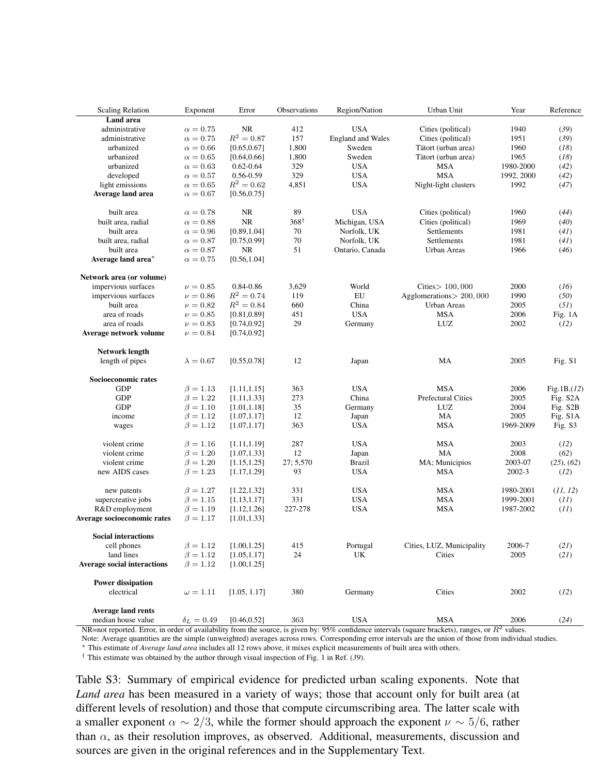| <b>Scaling Relation</b>            | Exponent          | Error         | Observations    | Region/Nation     | Urban Unit                | Year       | Reference             |
|------------------------------------|-------------------|---------------|-----------------|-------------------|---------------------------|------------|-----------------------|
| <b>Land area</b>                   |                   |               |                 |                   |                           |            |                       |
| administrative                     | $\alpha = 0.75$   | <b>NR</b>     | 412             | <b>USA</b>        | Cities (political)        | 1940       | (39)                  |
| administrative                     | $\alpha = 0.75$   | $R^2 = 0.87$  | 157             | England and Wales | Cities (political)        | 1951       | (39)                  |
| urbanized                          | $\alpha = 0.66$   | [0.65, 0.67]  | 1,800           | Sweden            | Tätort (urban area)       | 1960       | (18)                  |
| urbanized                          | $\alpha = 0.65$   | [0.64, 0.66]  | 1,800           | Sweden            | Tätort (urban area)       | 1965       | (18)                  |
| urbanized                          | $\alpha = 0.63$   | $0.62 - 0.64$ | 329             | <b>USA</b>        | <b>MSA</b>                | 1980-2000  | (42)                  |
| developed                          | $\alpha = 0.57$   | $0.56 - 0.59$ | 329             | <b>USA</b>        | <b>MSA</b>                | 1992, 2000 | (42)                  |
| light emissions                    | $\alpha = 0.65$   | $R^2 = 0.62$  | 4,851           | <b>USA</b>        | Night-light clusters      | 1992       | (47)                  |
| Average land area                  | $\alpha = 0.67$   | [0.56, 0.75]  |                 |                   |                           |            |                       |
| built area                         | $\alpha = 0.78$   | <b>NR</b>     | 89              | <b>USA</b>        | Cities (political)        | 1960       | (44)                  |
| built area, radial                 | $\alpha = 0.88$   | <b>NR</b>     | $368^{\dagger}$ | Michigan, USA     | Cities (political)        | 1969       | (40)                  |
| built area                         | $\alpha = 0.96$   | [0.89, 1.04]  | 70              | Norfolk, UK       | Settlements               | 1981       | (41)                  |
| built area, radial                 | $\alpha = 0.87$   | [0.75, 0.99]  | 70              | Norfolk, UK       | Settlements               | 1981       | (41)                  |
| built area                         | $\alpha = 0.87$   | <b>NR</b>     | 51              | Ontario, Canada   | Urban Areas               | 1966       | (46)                  |
| Average land area*                 | $\alpha = 0.75$   | [0.56, 1.04]  |                 |                   |                           |            |                       |
| Network area (or volume)           |                   |               |                 |                   |                           |            |                       |
| impervious surfaces                | $\nu = 0.85$      | 0.84-0.86     | 3,629           | World             | Cities > 100,000          | 2000       | (16)                  |
| impervious surfaces                | $\nu = 0.86$      | $R^2 = 0.74$  | 119             | EU                | Agglomerations > 200,000  | 1990       | (50)                  |
| built area                         | $\nu = 0.82$      | $R^2 = 0.84$  | 660             | China             | Urban Areas               | 2005       | (51)                  |
| area of roads                      | $\nu = 0.85$      | [0.81, 0.89]  | 451             | <b>USA</b>        | <b>MSA</b>                | 2006       | Fig. 1A               |
| area of roads                      | $\nu = 0.83$      | [0.74, 0.92]  | 29              | Germany           | LUZ                       | 2002       | (12)                  |
| Average network volume             | $\nu = 0.84$      | [0.74, 0.92]  |                 |                   |                           |            |                       |
| <b>Network length</b>              |                   |               |                 |                   |                           |            |                       |
| length of pipes                    | $\lambda = 0.67$  | [0.55, 0.78]  | 12              | Japan             | MA                        | 2005       | Fig. S1               |
| Socioeconomic rates                |                   |               |                 |                   |                           |            |                       |
| <b>GDP</b>                         | $\beta = 1.13$    | [1.11, 1.15]  | 363             | <b>USA</b>        | <b>MSA</b>                | 2006       | Fig.1B(12)            |
| <b>GDP</b>                         | $\beta = 1.22$    | [1.11, 1.33]  | 273             | China             | <b>Prefectural Cities</b> | 2005       | Fig. S <sub>2</sub> A |
| <b>GDP</b>                         | $\beta = 1.10$    | [1.01, 1.18]  | 35              | Germany           | LUZ                       | 2004       | Fig. S2B              |
| income                             | $\beta = 1.12$    | [1.07, 1.17]  | 12              | Japan             | MA                        | 2005       | Fig. S1A              |
| wages                              | $\beta = 1.12$    | [1.07, 1.17]  | 363             | <b>USA</b>        | <b>MSA</b>                | 1969-2009  | Fig. S3               |
| violent crime                      | $\beta = 1.16$    | [1.11, 1.19]  | 287             | <b>USA</b>        | <b>MSA</b>                | 2003       | (12)                  |
| violent crime                      | $\beta = 1.20$    | [1.07, 1.33]  | 12              | Japan             | MA                        | 2008       | (62)                  |
| violent crime                      | $\beta = 1.20$    | [1.15, 1.25]  | 27; 5,570       | <b>Brazil</b>     | MA; Municipios            | 2003-07    | (25), (62)            |
| new AIDS cases                     | $\beta = 1.23$    | [1.17, 1.29]  | 93              | <b>USA</b>        | <b>MSA</b>                | 2002-3     | (12)                  |
| new patents                        | $\beta = 1.27$    | [1.22, 1.32]  | 331             | <b>USA</b>        | <b>MSA</b>                | 1980-2001  | (11, 12)              |
| supercreative jobs                 | $\beta = 1.15$    | [1.13, 1.17]  | 331             | <b>USA</b>        | <b>MSA</b>                | 1999-2001  | (11)                  |
| R&D employment                     | $\beta = 1.19$    | [1.12, 1.26]  | 227-278         | <b>USA</b>        | MSA                       | 1987-2002  | (11)                  |
| Average socioeconomic rates        | $\beta = 1.17$    | [1.01, 1.33]  |                 |                   |                           |            |                       |
| <b>Social interactions</b>         |                   |               |                 |                   |                           |            |                       |
| cell phones                        | $\beta = 1.12$    | [1.00, 1.25]  | 415             | Portugal          | Cities, LUZ, Municipality | 2006-7     | (21)                  |
| land lines                         | $\beta = 1.12$    | [1.05, 1.17]  | 24              | UK                | Cities                    | 2005       | (21)                  |
| <b>Average social interactions</b> | $\beta = 1.12$    | [1.00, 1.25]  |                 |                   |                           |            |                       |
| <b>Power dissipation</b>           |                   |               |                 |                   |                           |            |                       |
| electrical                         | $\omega = 1.11$   | [1.05, 1.17]  | 380             | Germany           | Cities                    | 2002       | (12)                  |
| <b>Average land rents</b>          |                   |               |                 |                   |                           |            |                       |
| median house value                 | $\delta_L = 0.49$ | [0.46, 0.52]  | 363             | <b>USA</b>        | <b>MSA</b>                | 2006       | (24)                  |

NR=not reported. Error, in order of availability from the source, is given by:  $95\%$  confidence intervals (square brackets), ranges, or  $R^2$  values.

Note: Average quantities are the simple (unweighted) averages across rows. Corresponding error intervals are the union of those from individual studies.

<sup>∗</sup> This estimate of *Average land area* includes all 12 rows above, it mixes explicit measurements of built area with others.

† This estimate was obtained by the author through visual inspection of Fig. 1 in Ref. (*39*).

Table S3: Summary of empirical evidence for predicted urban scaling exponents. Note that *Land area* has been measured in a variety of ways; those that account only for built area (at different levels of resolution) and those that compute circumscribing area. The latter scale with a smaller exponent  $\alpha \sim 2/3$ , while the former should approach the exponent  $\nu \sim 5/6$ , rather than  $\alpha$ , as their resolution improves, as observed. Additional, measurements, discussion and sources are given in the original references and in the Supplementary Text.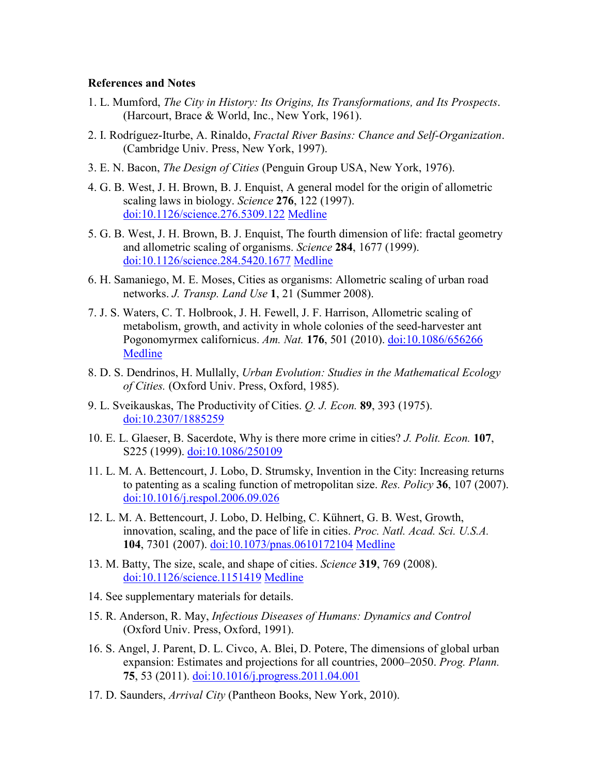#### **References and Notes**

- 1. L. Mumford, *The City in History: Its Origins, Its Transformations, and Its Prospects*. (Harcourt, Brace & World, Inc., New York, 1961).
- 2. I. Rodríguez-Iturbe, A. Rinaldo, *Fractal River Basins: Chance and Self-Organization*. (Cambridge Univ. Press, New York, 1997).
- 3. E. N. Bacon, *The Design of Cities* (Penguin Group USA, New York, 1976).
- 4. G. B. West, J. H. Brown, B. J. Enquist, A general model for the origin of allometric scaling laws in biology. *Science* **276**, 122 (1997). [doi:10.1126/science.276.5309.122](http://dx.doi.org/10.1126/science.276.5309.122) [Medline](http://dx.doi.org/10.1126/science.276.5309.122)
- 5. G. B. West, J. H. Brown, B. J. Enquist, The fourth dimension of life: fractal geometry and allometric scaling of organisms. *Science* **284**, 1677 (1999). [doi:10.1126/science.284.5420.1677](http://dx.doi.org/10.1126/science.284.5420.1677) [Medline](http://dx.doi.org/10.1126/science.284.5420.1677)
- 6. H. Samaniego, M. E. Moses, Cities as organisms: Allometric scaling of urban road networks. *J. Transp. Land Use* **1**, 21 (Summer 2008).
- 7. J. S. Waters, C. T. Holbrook, J. H. Fewell, J. F. Harrison, Allometric scaling of metabolism, growth, and activity in whole colonies of the seed-harvester ant Pogonomyrmex californicus. *Am. Nat.* **176**, 501 (2010). [doi:10.1086/656266](http://dx.doi.org/10.1086/656266) [Medline](http://www.ncbi.nlm.nih.gov/entrez/query.fcgi?cmd=Retrieve&db=PubMed&list_uids=20735259&dopt=Abstract)
- 8. D. S. Dendrinos, H. Mullally, *Urban Evolution: Studies in the Mathematical Ecology of Cities.* (Oxford Univ. Press, Oxford, 1985).
- 9. L. Sveikauskas, The Productivity of Cities. *Q. J. Econ.* **89**, 393 (1975). [doi:10.2307/1885259](http://dx.doi.org/10.2307/1885259)
- 10. E. L. Glaeser, B. Sacerdote, Why is there more crime in cities? *J. Polit. Econ.* **107**, S225 (1999). [doi:10.1086/250109](http://dx.doi.org/10.1086/250109)
- 11. L. M. A. Bettencourt, J. Lobo, D. Strumsky, Invention in the City: Increasing returns to patenting as a scaling function of metropolitan size. *Res. Policy* **36**, 107 (2007). [doi:10.1016/j.respol.2006.09.026](http://dx.doi.org/10.1016/j.respol.2006.09.026)
- 12. L. M. A. Bettencourt, J. Lobo, D. Helbing, C. Kühnert, G. B. West, Growth, innovation, scaling, and the pace of life in cities. *Proc. Natl. Acad. Sci. U.S.A.* **104**, 7301 (2007). [doi:10.1073/pnas.0610172104](http://dx.doi.org/10.1073/pnas.0610172104) [Medline](http://dx.doi.org/10.1073/pnas.0610172104)
- 13. M. Batty, The size, scale, and shape of cities. *Science* **319**, 769 (2008). [doi:10.1126/science.1151419](http://dx.doi.org/10.1126/science.1151419) [Medline](http://dx.doi.org/10.1126/science.1151419)
- 14. See supplementary materials for details.
- 15. R. Anderson, R. May, *Infectious Diseases of Humans: Dynamics and Control* (Oxford Univ. Press, Oxford, 1991).
- 16. S. Angel, J. Parent, D. L. Civco, A. Blei, D. Potere, The dimensions of global urban expansion: Estimates and projections for all countries, 2000–2050. *Prog. Plann.* **75**, 53 (2011). [doi:10.1016/j.progress.2011.04.001](http://dx.doi.org/10.1016/j.progress.2011.04.001)
- 17. D. Saunders, *Arrival City* (Pantheon Books, New York, 2010).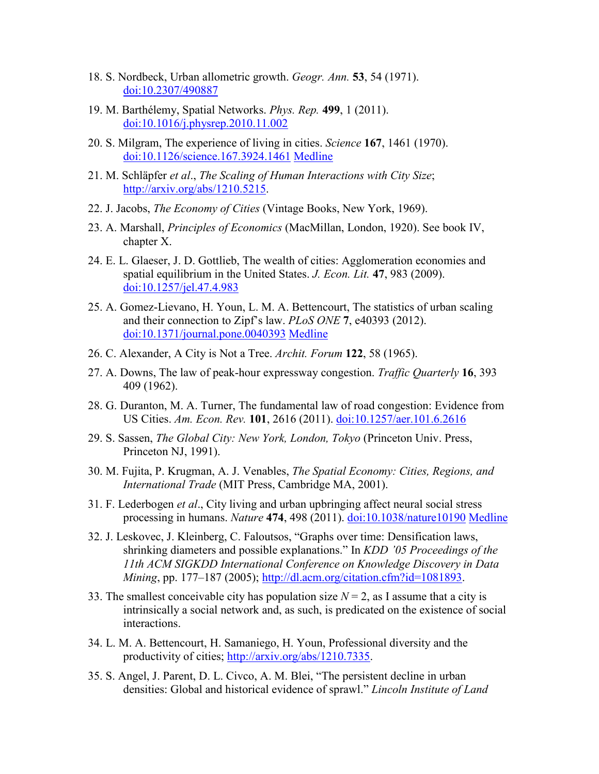- 18. S. Nordbeck, Urban allometric growth. *Geogr. Ann.* **53**, 54 (1971). [doi:10.2307/490887](http://dx.doi.org/10.2307/490887)
- 19. M. Barthélemy, Spatial Networks. *Phys. Rep.* **499**, 1 (2011). [doi:10.1016/j.physrep.2010.11.002](http://dx.doi.org/10.1016/j.physrep.2010.11.002)
- 20. S. Milgram, The experience of living in cities. *Science* **167**, 1461 (1970). [doi:10.1126/science.167.3924.1461](http://dx.doi.org/10.1126/science.167.3924.1461) [Medline](http://dx.doi.org/10.1126/science.167.3924.1461)
- 21. M. Schläpfer *et al*., *The Scaling of Human Interactions with City Size*; http://arxiv.org/abs/1210.5215.
- 22. J. Jacobs, *The Economy of Cities* (Vintage Books, New York, 1969).
- 23. A. Marshall, *Principles of Economics* (MacMillan, London, 1920). See book IV, chapter X.
- 24. E. L. Glaeser, J. D. Gottlieb, The wealth of cities: Agglomeration economies and spatial equilibrium in the United States. *J. Econ. Lit.* **47**, 983 (2009). [doi:10.1257/jel.47.4.983](http://dx.doi.org/10.1257/jel.47.4.983)
- 25. A. Gomez-Lievano, H. Youn, L. M. A. Bettencourt, The statistics of urban scaling and their connection to Zipf's law. *PLoS ONE* **7**, e40393 (2012). [doi:10.1371/journal.pone.0040393](http://dx.doi.org/10.1371/journal.pone.0040393) [Medline](http://dx.doi.org/10.1371/journal.pone.0040393)
- 26. C. Alexander, A City is Not a Tree. *Archit. Forum* **122**, 58 (1965).
- 27. A. Downs, The law of peak-hour expressway congestion. *Traffic Quarterly* **16**, 393 409 (1962).
- 28. G. Duranton, M. A. Turner, The fundamental law of road congestion: Evidence from US Cities. *Am. Econ. Rev.* **101**, 2616 (2011). [doi:10.1257/aer.101.6.2616](http://dx.doi.org/10.1257/aer.101.6.2616)
- 29. S. Sassen, *The Global City: New York, London, Tokyo* (Princeton Univ. Press, Princeton NJ, 1991).
- 30. M. Fujita, P. Krugman, A. J. Venables, *The Spatial Economy: Cities, Regions, and International Trade* (MIT Press, Cambridge MA, 2001).
- 31. F. Lederbogen *et al*., City living and urban upbringing affect neural social stress processing in humans. *Nature* **474**, 498 (2011). [doi:10.1038/nature10190](http://dx.doi.org/10.1038/nature10190) [Medline](http://dx.doi.org/10.1038/nature10190)
- 32. J. Leskovec, J. Kleinberg, C. Faloutsos, "Graphs over time: Densification laws, shrinking diameters and possible explanations." In *KDD '05 Proceedings of the 11th ACM SIGKDD International Conference on Knowledge Discovery in Data Mining*, pp. 177–187 (2005); [http://dl.acm.org/citation.cfm?id=1081893.](http://dl.acm.org/citation.cfm?id=1081893)
- 33. The smallest conceivable city has population size  $N = 2$ , as I assume that a city is intrinsically a social network and, as such, is predicated on the existence of social interactions.
- 34. L. M. A. Bettencourt, H. Samaniego, H. Youn, Professional diversity and the productivity of cities; http://arxiv.org/abs/1210.7335.
- 35. S. Angel, J. Parent, D. L. Civco, A. M. Blei, "The persistent decline in urban densities: Global and historical evidence of sprawl." *Lincoln Institute of Land*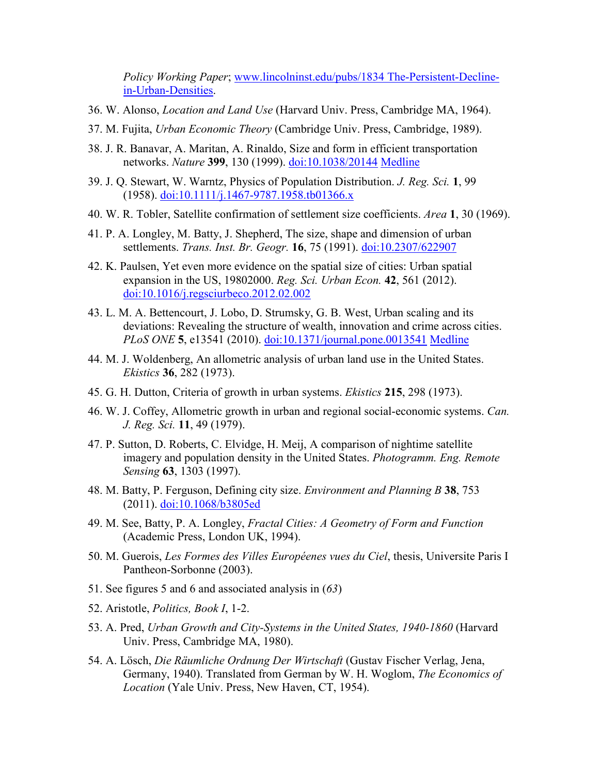*Policy Working Paper*; www.lincolninst.edu/pubs/1834 The-Persistent-Declinein-Urban-Densities.

- 36. W. Alonso, *Location and Land Use* (Harvard Univ. Press, Cambridge MA, 1964).
- 37. M. Fujita, *Urban Economic Theory* (Cambridge Univ. Press, Cambridge, 1989).
- 38. J. R. Banavar, A. Maritan, A. Rinaldo, Size and form in efficient transportation networks. *Nature* **399**, 130 (1999). [doi:10.1038/20144](http://dx.doi.org/10.1038/20144) [Medline](http://dx.doi.org/10.1038/20144)
- 39. J. Q. Stewart, W. Warntz, Physics of Population Distribution. *J. Reg. Sci.* **1**, 99 (1958). [doi:10.1111/j.1467-9787.1958.tb01366.x](http://dx.doi.org/10.1111/j.1467-9787.1958.tb01366.x)
- 40. W. R. Tobler, Satellite confirmation of settlement size coefficients. *Area* **1**, 30 (1969).
- 41. P. A. Longley, M. Batty, J. Shepherd, The size, shape and dimension of urban settlements. *Trans. Inst. Br. Geogr.* **16**, 75 (1991). [doi:10.2307/622907](http://dx.doi.org/10.2307/622907)
- 42. K. Paulsen, Yet even more evidence on the spatial size of cities: Urban spatial expansion in the US, 19802000. *Reg. Sci. Urban Econ.* **42**, 561 (2012). [doi:10.1016/j.regsciurbeco.2012.02.002](http://dx.doi.org/10.1016/j.regsciurbeco.2012.02.002)
- 43. L. M. A. Bettencourt, J. Lobo, D. Strumsky, G. B. West, Urban scaling and its deviations: Revealing the structure of wealth, innovation and crime across cities. *PLoS ONE* **5**, e13541 (2010). [doi:10.1371/journal.pone.0013541](http://dx.doi.org/10.1371/journal.pone.0013541) [Medline](http://dx.doi.org/10.1371/journal.pone.0013541)
- 44. M. J. Woldenberg, An allometric analysis of urban land use in the United States. *Ekistics* **36**, 282 (1973).
- 45. G. H. Dutton, Criteria of growth in urban systems. *Ekistics* **215**, 298 (1973).
- 46. W. J. Coffey, Allometric growth in urban and regional social-economic systems. *Can. J. Reg. Sci.* **11**, 49 (1979).
- 47. P. Sutton, D. Roberts, C. Elvidge, H. Meij, A comparison of nightime satellite imagery and population density in the United States. *Photogramm. Eng. Remote Sensing* **63**, 1303 (1997).
- 48. M. Batty, P. Ferguson, Defining city size. *Environment and Planning B* **38**, 753 (2011). [doi:10.1068/b3805ed](http://dx.doi.org/10.1068/b3805ed)
- 49. M. See, Batty, P. A. Longley, *Fractal Cities: A Geometry of Form and Function* (Academic Press, London UK, 1994).
- 50. M. Guerois, *Les Formes des Villes Européenes vues du Ciel*, thesis, Universite Paris I Pantheon-Sorbonne (2003).
- 51. See figures 5 and 6 and associated analysis in (*63*)
- 52. Aristotle, *Politics, Book I*, 1-2.
- 53. A. Pred, *Urban Growth and City-Systems in the United States, 1940-1860* (Harvard Univ. Press, Cambridge MA, 1980).
- 54. A. Lösch, *Die Räumliche Ordnung Der Wirtschaft* (Gustav Fischer Verlag, Jena, Germany, 1940). Translated from German by W. H. Woglom, *The Economics of Location* (Yale Univ. Press, New Haven, CT, 1954).